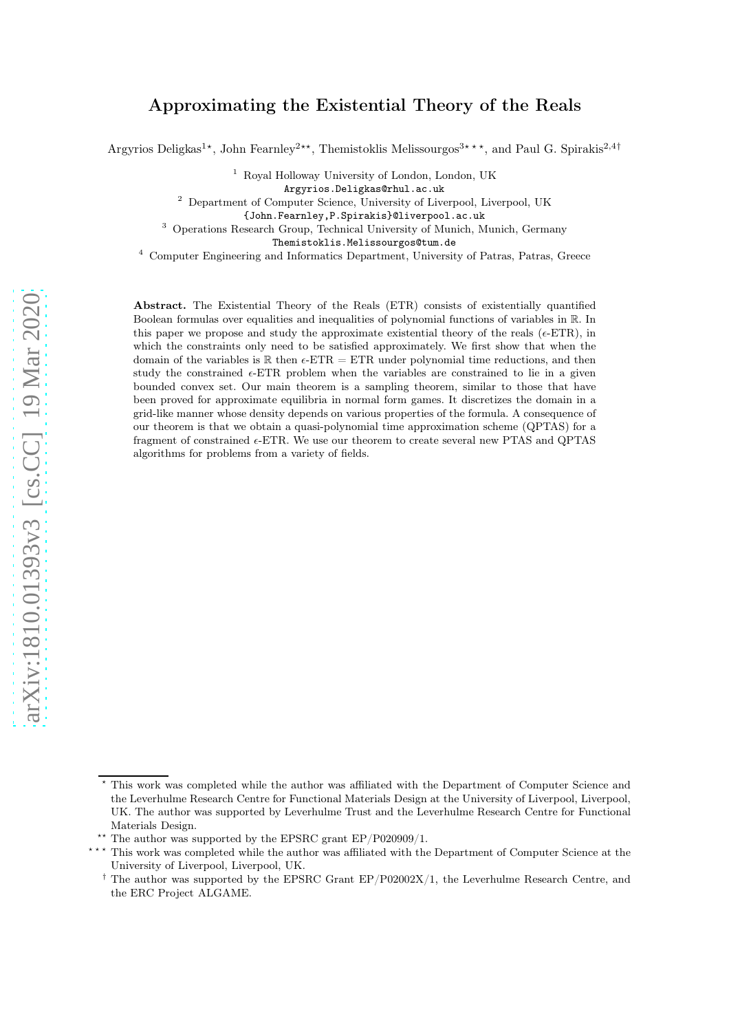# Approximating the Existential Theory of the Reals

Argyrios Deligkas<sup>1</sup>\*, John Fearnley<sup>2\*\*</sup>, Themistoklis Melissourgos<sup>3\*\*\*</sup>, and Paul G. Spirakis<sup>2,4†</sup>

<sup>1</sup> Royal Holloway University of London, London, UK

Argyrios.Deligkas@rhul.ac.uk

<sup>2</sup> Department of Computer Science, University of Liverpool, Liverpool, UK

{John.Fearnley,P.Spirakis}@liverpool.ac.uk

<sup>3</sup> Operations Research Group, Technical University of Munich, Munich, Germany

Themistoklis.Melissourgos@tum.de

<sup>4</sup> Computer Engineering and Informatics Department, University of Patras, Patras, Greece

Abstract. The Existential Theory of the Reals (ETR) consists of existentially quantified Boolean formulas over equalities and inequalities of polynomial functions of variables in R. In this paper we propose and study the approximate existential theory of the reals ( $\epsilon$ -ETR), in which the constraints only need to be satisfied approximately. We first show that when the domain of the variables is  $\mathbb R$  then  $\epsilon$ -ETR = ETR under polynomial time reductions, and then study the constrained  $\epsilon$ -ETR problem when the variables are constrained to lie in a given bounded convex set. Our main theorem is a sampling theorem, similar to those that have been proved for approximate equilibria in normal form games. It discretizes the domain in a grid-like manner whose density depends on various properties of the formula. A consequence of our theorem is that we obtain a quasi-polynomial time approximation scheme (QPTAS) for a fragment of constrained  $\epsilon$ -ETR. We use our theorem to create several new PTAS and QPTAS algorithms for problems from a variety of fields.

This work was completed while the author was affiliated with the Department of Computer Science and the Leverhulme Research Centre for Functional Materials Design at the University of Liverpool, Liverpool, UK. The author was supported by Leverhulme Trust and the Leverhulme Research Centre for Functional Materials Design.

**<sup>\*\*</sup>** The author was supported by the EPSRC grant EP/P020909/1.

This work was completed while the author was affiliated with the Department of Computer Science at the University of Liverpool, Liverpool, UK.

<sup>&</sup>lt;sup>†</sup> The author was supported by the EPSRC Grant EP/P02002X/1, the Leverhulme Research Centre, and the ERC Project ALGAME.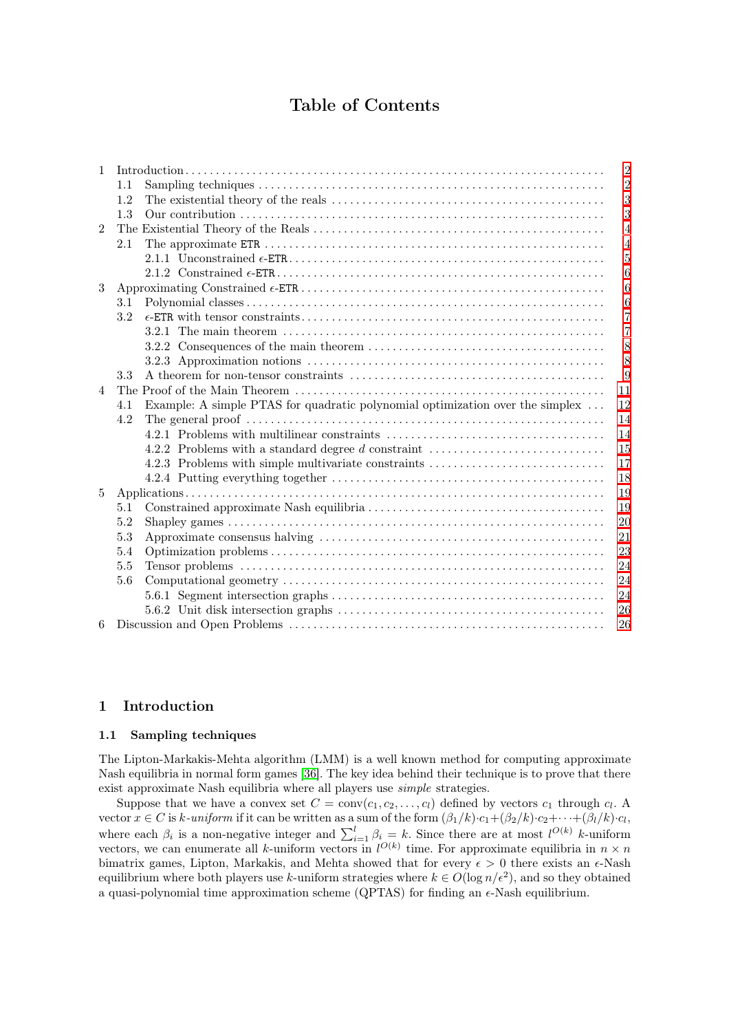# Table of Contents

| $\mathbf{1}$   |                                                                                      | $\overline{2}$ |
|----------------|--------------------------------------------------------------------------------------|----------------|
|                | 1.1                                                                                  | $\overline{2}$ |
|                | 1.2                                                                                  | 3              |
|                | 1.3                                                                                  | 3              |
| $\overline{2}$ |                                                                                      | $\overline{4}$ |
|                | 2.1                                                                                  | $\overline{4}$ |
|                |                                                                                      | 5              |
|                |                                                                                      | 6              |
| 3              |                                                                                      | 6              |
|                | 3.1                                                                                  | 6              |
|                | 3.2                                                                                  | 7              |
|                |                                                                                      | 7              |
|                |                                                                                      | 8              |
|                |                                                                                      | 8              |
|                | 3.3                                                                                  | 9              |
| $\overline{4}$ |                                                                                      | 11             |
|                | Example: A simple PTAS for quadratic polynomial optimization over the simplex<br>4.1 | 12             |
|                | 4.2                                                                                  | 14             |
|                |                                                                                      | 14             |
|                | 4.2.2 Problems with a standard degree d constraint                                   | 15             |
|                | 4.2.3 Problems with simple multivariate constraints                                  | 17             |
|                |                                                                                      | 18             |
| 5              |                                                                                      | 19             |
|                | 5.1                                                                                  | 19             |
|                | 5.2                                                                                  | 20             |
|                | 5.3                                                                                  | 21             |
|                | 5.4                                                                                  | 23             |
|                | 5.5                                                                                  | 24             |
|                | 5.6                                                                                  | 24             |
|                |                                                                                      | 24             |
|                |                                                                                      | 26             |
| 6              |                                                                                      | 26             |

# <span id="page-1-1"></span><span id="page-1-0"></span>1 Introduction

## 1.1 Sampling techniques

The Lipton-Markakis-Mehta algorithm (LMM) is a well known method for computing approximate Nash equilibria in normal form games [\[36\]](#page-27-0). The key idea behind their technique is to prove that there exist approximate Nash equilibria where all players use simple strategies.

Suppose that we have a convex set  $C = \text{conv}(c_1, c_2, \ldots, c_l)$  defined by vectors  $c_1$  through  $c_l$ . A vector  $x \in C$  is k-uniform if it can be written as a sum of the form  $(\beta_1/k) \cdot c_1 + (\beta_2/k) \cdot c_2 + \cdots + (\beta_l/k) \cdot c_l$ , where each  $\beta_i$  is a non-negative integer and  $\sum_{i=1}^l \beta_i = k$ . Since there are at most  $l^{O(k)}$  k-uniform vectors, we can enumerate all k-uniform vectors in  $l^{O(k)}$  time. For approximate equilibria in  $n \times n$ bimatrix games, Lipton, Markakis, and Mehta showed that for every  $\epsilon > 0$  there exists an  $\epsilon$ -Nash equilibrium where both players use k-uniform strategies where  $k \in O(\log n/\epsilon^2)$ , and so they obtained a quasi-polynomial time approximation scheme (QPTAS) for finding an  $\epsilon$ -Nash equilibrium.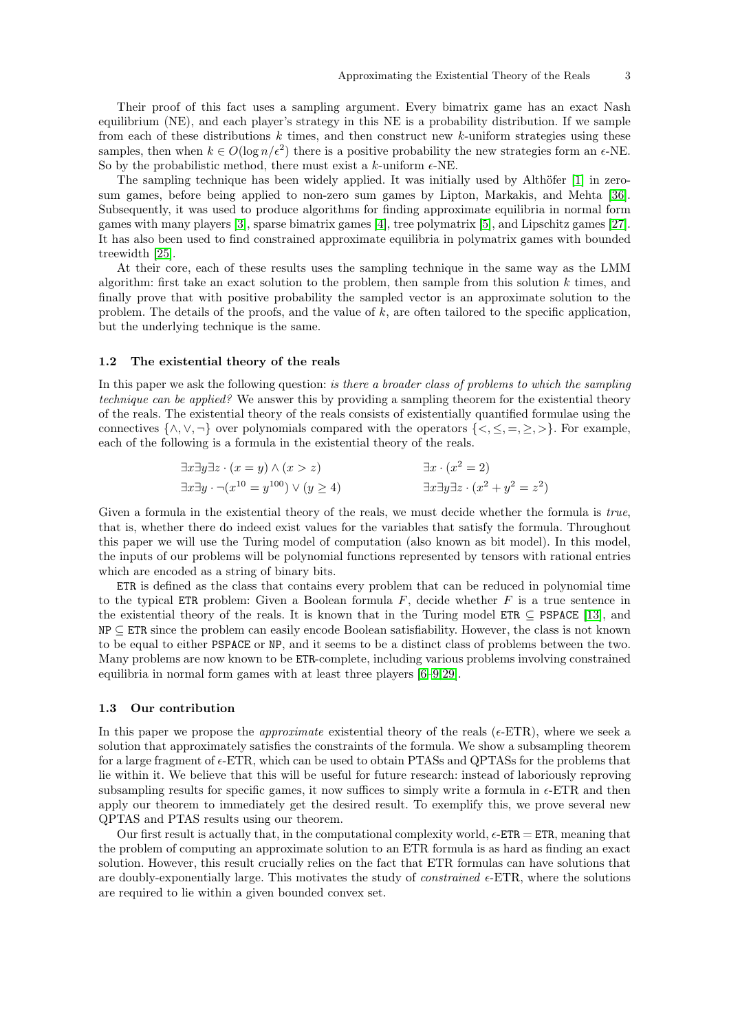Their proof of this fact uses a sampling argument. Every bimatrix game has an exact Nash equilibrium (NE), and each player's strategy in this NE is a probability distribution. If we sample from each of these distributions  $k$  times, and then construct new  $k$ -uniform strategies using these samples, then when  $k \in O(\log n/\epsilon^2)$  there is a positive probability the new strategies form an  $\epsilon$ -NE. So by the probabilistic method, there must exist a k-uniform  $\epsilon$ -NE.

The sampling technique has been widely applied. It was initially used by Althöfer [\[1\]](#page-26-0) in zerosum games, before being applied to non-zero sum games by Lipton, Markakis, and Mehta [\[36\]](#page-27-0). Subsequently, it was used to produce algorithms for finding approximate equilibria in normal form games with many players [\[3\]](#page-26-1), sparse bimatrix games [\[4\]](#page-26-2), tree polymatrix [\[5\]](#page-26-3), and Lipschitz games [\[27\]](#page-27-1). It has also been used to find constrained approximate equilibria in polymatrix games with bounded treewidth [\[25\]](#page-27-2).

At their core, each of these results uses the sampling technique in the same way as the LMM algorithm: first take an exact solution to the problem, then sample from this solution  $k$  times, and finally prove that with positive probability the sampled vector is an approximate solution to the problem. The details of the proofs, and the value of  $k$ , are often tailored to the specific application, but the underlying technique is the same.

#### <span id="page-2-0"></span>1.2 The existential theory of the reals

In this paper we ask the following question: *is there a broader class of problems to which the sampling* technique can be applied? We answer this by providing a sampling theorem for the existential theory of the reals. The existential theory of the reals consists of existentially quantified formulae using the connectives  $\{\wedge, \vee, \neg\}$  over polynomials compared with the operators  $\{\leq, \leq, =, \geq\}$ . For example, each of the following is a formula in the existential theory of the reals.

$$
\exists x \exists y \exists z \cdot (x = y) \land (x > z) \qquad \exists x \cdot (x^2 = 2)
$$
  

$$
\exists x \exists y \cdot \neg (x^{10} = y^{100}) \lor (y \ge 4) \qquad \exists x \exists y \exists z \cdot (x^2 + y^2 = z^2)
$$

Given a formula in the existential theory of the reals, we must decide whether the formula is *true*. that is, whether there do indeed exist values for the variables that satisfy the formula. Throughout this paper we will use the Turing model of computation (also known as bit model). In this model, the inputs of our problems will be polynomial functions represented by tensors with rational entries which are encoded as a string of binary bits.

ETR is defined as the class that contains every problem that can be reduced in polynomial time to the typical ETR problem: Given a Boolean formula  $F$ , decide whether  $F$  is a true sentence in the existential theory of the reals. It is known that in the Turing model  $ETR \subseteq PSPACE$  [\[13\]](#page-27-3), and NP <sup>⊆</sup> ETR since the problem can easily encode Boolean satisfiability. However, the class is not known to be equal to either PSPACE or NP, and it seems to be a distinct class of problems between the two. Many problems are now known to be ETR-complete, including various problems involving constrained equilibria in normal form games with at least three players [\[6](#page-26-4)[–9](#page-26-5)[,29\]](#page-27-4).

#### <span id="page-2-1"></span>1.3 Our contribution

In this paper we propose the *approximate* existential theory of the reals ( $\epsilon$ -ETR), where we seek a solution that approximately satisfies the constraints of the formula. We show a subsampling theorem for a large fragment of  $\epsilon$ -ETR, which can be used to obtain PTASs and QPTASs for the problems that lie within it. We believe that this will be useful for future research: instead of laboriously reproving subsampling results for specific games, it now suffices to simply write a formula in  $\epsilon$ -ETR and then apply our theorem to immediately get the desired result. To exemplify this, we prove several new QPTAS and PTAS results using our theorem.

Our first result is actually that, in the computational complexity world,  $\epsilon$ -ETR = ETR, meaning that the problem of computing an approximate solution to an ETR formula is as hard as finding an exact solution. However, this result crucially relies on the fact that ETR formulas can have solutions that are doubly-exponentially large. This motivates the study of *constrained*  $\epsilon$ -ETR, where the solutions are required to lie within a given bounded convex set.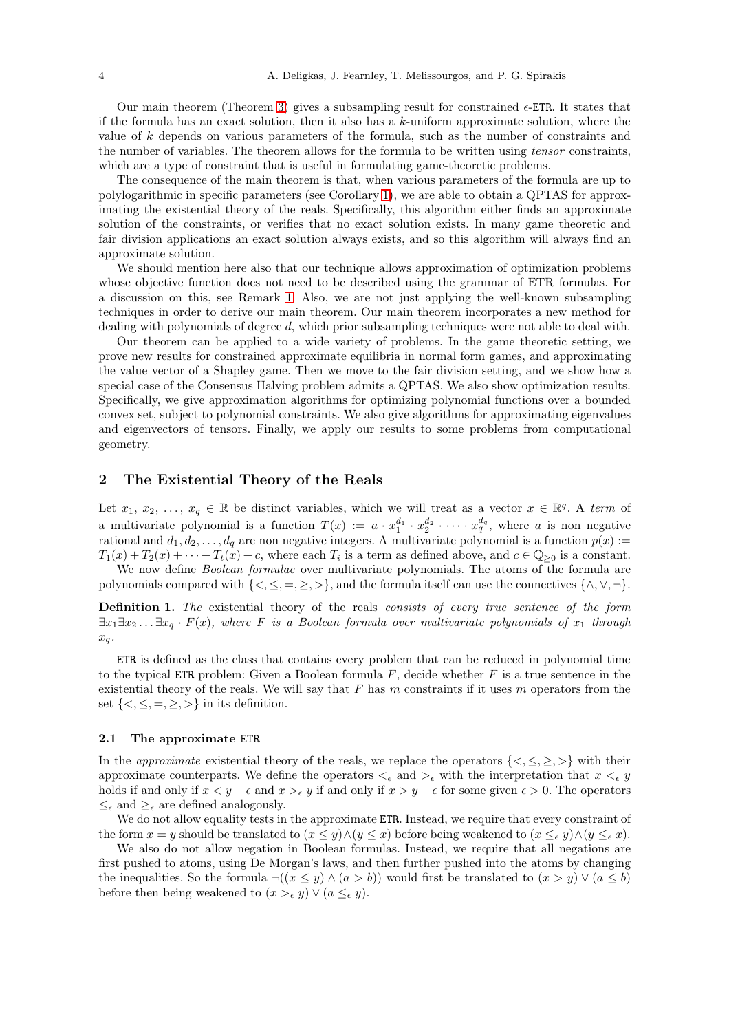Our main theorem (Theorem [3\)](#page-6-2) gives a subsampling result for constrained  $\epsilon$ -ETR. It states that if the formula has an exact solution, then it also has a k-uniform approximate solution, where the value of k depends on various parameters of the formula, such as the number of constraints and the number of variables. The theorem allows for the formula to be written using tensor constraints, which are a type of constraint that is useful in formulating game-theoretic problems.

The consequence of the main theorem is that, when various parameters of the formula are up to polylogarithmic in specific parameters (see Corollary [1\)](#page-7-2), we are able to obtain a QPTAS for approximating the existential theory of the reals. Specifically, this algorithm either finds an approximate solution of the constraints, or verifies that no exact solution exists. In many game theoretic and fair division applications an exact solution always exists, and so this algorithm will always find an approximate solution.

We should mention here also that our technique allows approximation of optimization problems whose objective function does not need to be described using the grammar of ETR formulas. For a discussion on this, see Remark [1.](#page-8-1) Also, we are not just applying the well-known subsampling techniques in order to derive our main theorem. Our main theorem incorporates a new method for dealing with polynomials of degree d, which prior subsampling techniques were not able to deal with.

Our theorem can be applied to a wide variety of problems. In the game theoretic setting, we prove new results for constrained approximate equilibria in normal form games, and approximating the value vector of a Shapley game. Then we move to the fair division setting, and we show how a special case of the Consensus Halving problem admits a QPTAS. We also show optimization results. Specifically, we give approximation algorithms for optimizing polynomial functions over a bounded convex set, subject to polynomial constraints. We also give algorithms for approximating eigenvalues and eigenvectors of tensors. Finally, we apply our results to some problems from computational geometry.

# <span id="page-3-0"></span>2 The Existential Theory of the Reals

Let  $x_1, x_2, \ldots, x_q \in \mathbb{R}$  be distinct variables, which we will treat as a vector  $x \in \mathbb{R}^q$ . A term of a multivariate polynomial is a function  $T(x) := a \cdot x_1^{d_1} \cdot x_2^{d_2} \cdot \cdots \cdot x_q^{d_q}$ , where a is non negative rational and  $d_1, d_2, \ldots, d_q$  are non negative integers. A multivariate polynomial is a function  $p(x) :=$  $T_1(x) + T_2(x) + \cdots + T_t(x) + c$ , where each  $T_i$  is a term as defined above, and  $c \in \mathbb{Q}_{\geq 0}$  is a constant.

We now define *Boolean formulae* over multivariate polynomials. The atoms of the formula are polynomials compared with  $\{<,\leq,=,\geq,>\}$ , and the formula itself can use the connectives  $\{\wedge,\vee,\neg\}$ .

Definition 1. The existential theory of the reals consists of every true sentence of the form  $\exists x_1 \exists x_2 \ldots \exists x_q \cdot F(x)$ , where F is a Boolean formula over multivariate polynomials of  $x_1$  through  $x_q$ .

ETR is defined as the class that contains every problem that can be reduced in polynomial time to the typical ETR problem: Given a Boolean formula  $F$ , decide whether  $F$  is a true sentence in the existential theory of the reals. We will say that  $F$  has  $m$  constraints if it uses  $m$  operators from the set  $\{<,\leq,=,\geq,>\}$  in its definition.

#### <span id="page-3-1"></span>2.1 The approximate ETR

In the approximate existential theory of the reals, we replace the operators  $\{<,\leq,\geq,\geq\}$  with their approximate counterparts. We define the operators  $\lt_{\epsilon}$  and  $\gt_{\epsilon}$  with the interpretation that  $x \lt_{\epsilon} y$ holds if and only if  $x < y + \epsilon$  and  $x >_{\epsilon} y$  if and only if  $x > y - \epsilon$  for some given  $\epsilon > 0$ . The operators  $\leq_{\epsilon}$  and  $\geq_{\epsilon}$  are defined analogously.

We do not allow equality tests in the approximate ETR. Instead, we require that every constraint of the form  $x = y$  should be translated to  $(x \leq y) \wedge (y \leq x)$  before being weakened to  $(x \leq_{\epsilon} y) \wedge (y \leq_{\epsilon} x)$ .

We also do not allow negation in Boolean formulas. Instead, we require that all negations are first pushed to atoms, using De Morgan's laws, and then further pushed into the atoms by changing the inequalities. So the formula  $\neg((x \le y) \land (a > b))$  would first be translated to  $(x > y) \lor (a \le b)$ before then being weakened to  $(x >_{\epsilon} y) \vee (a \leq_{\epsilon} y)$ .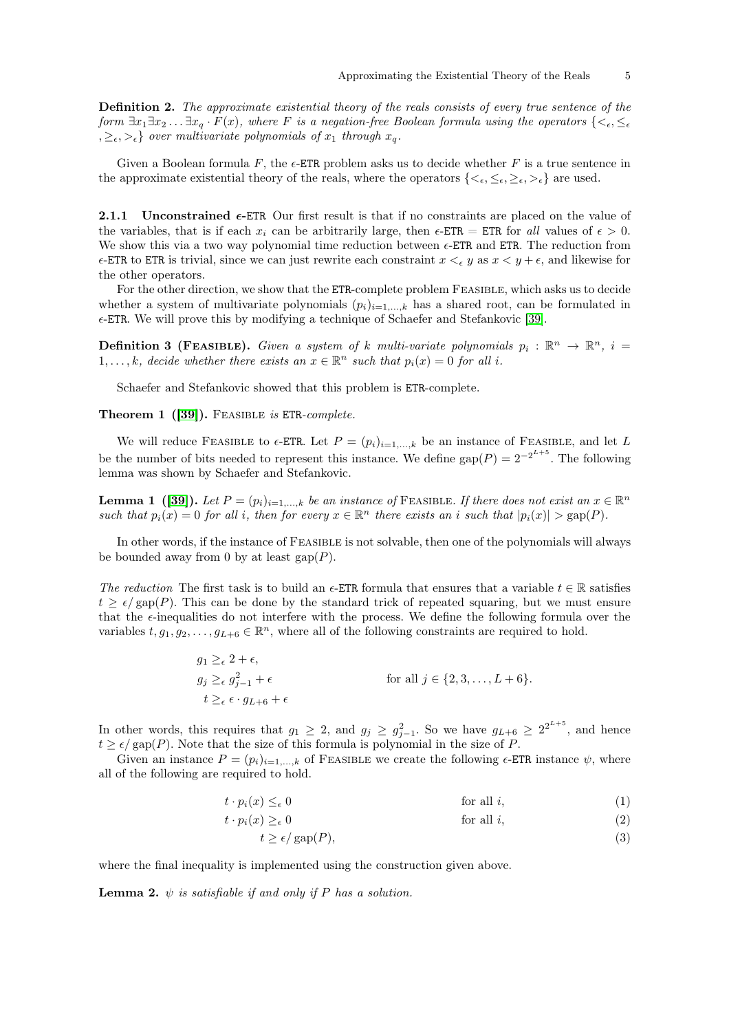Definition 2. The approximate existential theory of the reals consists of every true sentence of the form  $\exists x_1 \exists x_2 \dots \exists x_q \cdot F(x)$ , where F is a negation-free Boolean formula using the operators  $\{<_{\epsilon}, \leq_{\epsilon}\}$  $\{z_0, z_{\epsilon}, z_{\epsilon}\}\$  over multivariate polynomials of  $x_1$  through  $x_q$ .

Given a Boolean formula F, the  $\epsilon$ -ETR problem asks us to decide whether F is a true sentence in the approximate existential theory of the reals, where the operators  $\{<_{\epsilon}, \leq_{\epsilon}, >_{\epsilon}\}$  are used.

<span id="page-4-0"></span>**2.1.1** Unconstrained  $\epsilon$ -ETR Our first result is that if no constraints are placed on the value of the variables, that is if each x<sub>i</sub> can be arbitrarily large, then  $\epsilon$ -ETR = ETR for all values of  $\epsilon > 0$ . We show this via a two way polynomial time reduction between  $\epsilon$ -ETR and ETR. The reduction from  $\epsilon$ -ETR to ETR is trivial, since we can just rewrite each constraint  $x \leq_{\epsilon} y$  as  $x \leq y + \epsilon$ , and likewise for the other operators.

For the other direction, we show that the ETR-complete problem FEASIBLE, which asks us to decide whether a system of multivariate polynomials  $(p_i)_{i=1,\dots,k}$  has a shared root, can be formulated in  $\epsilon$ -ETR. We will prove this by modifying a technique of Schaefer and Stefankovic [\[39\]](#page-28-0).

**Definition 3 (FEASIBLE).** Given a system of k multi-variate polynomials  $p_i : \mathbb{R}^n \to \mathbb{R}^n$ ,  $i =$ 1,..., k, decide whether there exists an  $x \in \mathbb{R}^n$  such that  $p_i(x) = 0$  for all i.

Schaefer and Stefankovic showed that this problem is ETR-complete.

### Theorem 1 ([\[39\]](#page-28-0)). FEASIBLE is ETR-complete.

We will reduce FEASIBLE to  $\epsilon$ -ETR. Let  $P = (p_i)_{i=1,\dots,k}$  be an instance of FEASIBLE, and let L be the number of bits needed to represent this instance. We define  $\text{gap}(P) = 2^{-2^{L+5}}$ . The following lemma was shown by Schaefer and Stefankovic.

<span id="page-4-4"></span>**Lemma 1** ([\[39\]](#page-28-0)). Let  $P = (p_i)_{i=1,...,k}$  be an instance of FEASIBLE. If there does not exist an  $x \in \mathbb{R}^n$ such that  $p_i(x) = 0$  for all i, then for every  $x \in \mathbb{R}^n$  there exists an i such that  $|p_i(x)| > \text{gap}(P)$ .

In other words, if the instance of FEASIBLE is not solvable, then one of the polynomials will always be bounded away from 0 by at least  $\text{gap}(P)$ .

The reduction The first task is to build an  $\epsilon$ -ETR formula that ensures that a variable  $t \in \mathbb{R}$  satisfies  $t \geq \epsilon/\text{gap}(P)$ . This can be done by the standard trick of repeated squaring, but we must ensure that the  $\epsilon$ -inequalities do not interfere with the process. We define the following formula over the variables  $t, g_1, g_2, \ldots, g_{L+6} \in \mathbb{R}^n$ , where all of the following constraints are required to hold.

$$
g_1 \geq_{\epsilon} 2 + \epsilon,
$$
  
\n
$$
g_j \geq_{\epsilon} g_{j-1}^2 + \epsilon
$$
  
\n
$$
t \geq_{\epsilon} \epsilon \cdot g_{L+6} + \epsilon
$$
  
\nfor all  $j \in \{2, 3, ..., L+6\}.$ 

In other words, this requires that  $g_1 \geq 2$ , and  $g_j \geq g_{j-1}^2$ . So we have  $g_{L+6} \geq 2^{2^{L+5}}$ , and hence  $t > \epsilon / \text{gap}(P)$ . Note that the size of this formula is polynomial in the size of P.

Given an instance  $P = (p_i)_{i=1,\ldots,k}$  of FEASIBLE we create the following  $\epsilon$ -ETR instance  $\psi$ , where all of the following are required to hold.

$$
t \cdot p_i(x) \leq_\epsilon 0 \qquad \text{for all } i,\tag{1}
$$

$$
t \cdot p_i(x) \geq_\epsilon 0 \qquad \text{for all } i,
$$
 (2)

<span id="page-4-3"></span><span id="page-4-2"></span><span id="page-4-1"></span>
$$
t \ge \epsilon / \operatorname{gap}(P),\tag{3}
$$

where the final inequality is implemented using the construction given above.

**Lemma 2.**  $\psi$  is satisfiable if and only if P has a solution.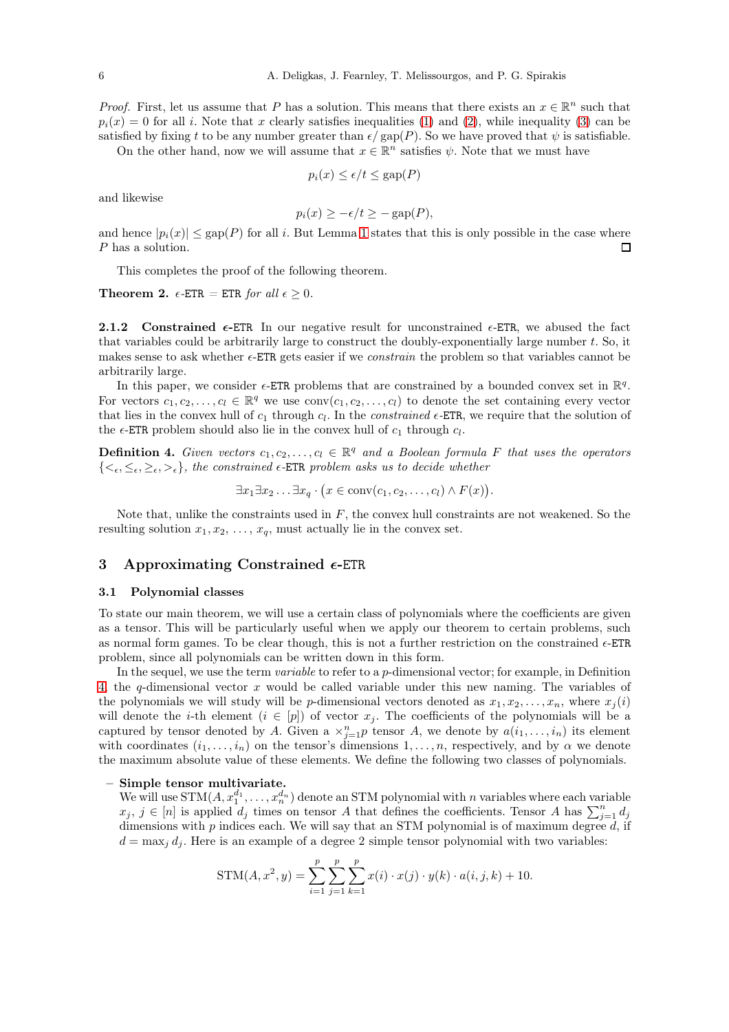*Proof.* First, let us assume that P has a solution. This means that there exists an  $x \in \mathbb{R}^n$  such that  $p_i(x) = 0$  for all i. Note that x clearly satisfies inequalities [\(1\)](#page-4-1) and [\(2\)](#page-4-2), while inequality [\(3\)](#page-4-3) can be satisfied by fixing t to be any number greater than  $\epsilon/\text{gap}(P)$ . So we have proved that  $\psi$  is satisfiable.

On the other hand, now we will assume that  $x \in \mathbb{R}^n$  satisfies  $\psi$ . Note that we must have

$$
p_i(x) \le \epsilon/t \le \text{gap}(P)
$$

and likewise

$$
p_i(x) \ge -\epsilon/t \ge -\text{gap}(P),
$$

and hence  $|p_i(x)| \leq \text{gap}(P)$  for all i. But Lemma [1](#page-4-4) states that this is only possible in the case where  $P$  has a solution. P has a solution.

This completes the proof of the following theorem.

**Theorem 2.**  $\epsilon$ -ETR = ETR for all  $\epsilon \geq 0$ .

<span id="page-5-0"></span>2.1.2 Constrained  $\epsilon$ -ETR In our negative result for unconstrained  $\epsilon$ -ETR, we abused the fact that variables could be arbitrarily large to construct the doubly-exponentially large number t. So, it makes sense to ask whether  $\epsilon$ -ETR gets easier if we *constrain* the problem so that variables cannot be arbitrarily large.

In this paper, we consider  $\epsilon$ -ETR problems that are constrained by a bounded convex set in  $\mathbb{R}^q$ . For vectors  $c_1, c_2, \ldots, c_l \in \mathbb{R}^q$  we use  $\text{conv}(c_1, c_2, \ldots, c_l)$  to denote the set containing every vector that lies in the convex hull of  $c_1$  through  $c_l$ . In the *constrained*  $\epsilon$ -ETR, we require that the solution of the  $\epsilon$ -ETR problem should also lie in the convex hull of  $c_1$  through  $c_l$ .

<span id="page-5-3"></span>**Definition 4.** Given vectors  $c_1, c_2, \ldots, c_l \in \mathbb{R}^q$  and a Boolean formula F that uses the operators  ${<_{\epsilon}, \leq_{\epsilon}, \geq_{\epsilon}, >_{\epsilon}}$ , the constrained  $\epsilon$ -ETR problem asks us to decide whether

 $\exists x_1 \exists x_2 \ldots \exists x_q \cdot (x \in \text{conv}(c_1, c_2, \ldots, c_l) \wedge F(x)).$ 

Note that, unlike the constraints used in  $F$ , the convex hull constraints are not weakened. So the resulting solution  $x_1, x_2, \ldots, x_q$ , must actually lie in the convex set.

# <span id="page-5-1"></span>3 Approximating Constrained  $\epsilon$ -ETR

#### <span id="page-5-2"></span>3.1 Polynomial classes

To state our main theorem, we will use a certain class of polynomials where the coefficients are given as a tensor. This will be particularly useful when we apply our theorem to certain problems, such as normal form games. To be clear though, this is not a further restriction on the constrained  $\epsilon$ -ETR problem, since all polynomials can be written down in this form.

In the sequel, we use the term *variable* to refer to a *p*-dimensional vector; for example, in Definition [4,](#page-5-3) the q-dimensional vector x would be called variable under this new naming. The variables of the polynomials we will study will be *p*-dimensional vectors denoted as  $x_1, x_2, \ldots, x_n$ , where  $x_j(i)$ will denote the *i*-th element  $(i \in [p])$  of vector  $x_j$ . The coefficients of the polynomials will be a captured by tensor denoted by A. Given a  $\times_{j=1}^n p$  tensor A, we denote by  $a(i_1,\ldots,i_n)$  its element with coordinates  $(i_1, \ldots, i_n)$  on the tensor's dimensions  $1, \ldots, n$ , respectively, and by  $\alpha$  we denote the maximum absolute value of these elements. We define the following two classes of polynomials.

#### Simple tensor multivariate.

We will use  $STM(A, x_1^{d_1}, \ldots, x_n^{d_n})$  denote an STM polynomial with n variables where each variable  $x_j, j \in [n]$  is applied  $d_j$  times on tensor A that defines the coefficients. Tensor A has  $\sum_{j=1}^n d_j$ dimensions with  $p$  indices each. We will say that an STM polynomial is of maximum degree  $d$ , if  $d = \max_i d_i$ . Here is an example of a degree 2 simple tensor polynomial with two variables:

$$
STM(A, x^{2}, y) = \sum_{i=1}^{p} \sum_{j=1}^{p} \sum_{k=1}^{p} x(i) \cdot x(j) \cdot y(k) \cdot a(i, j, k) + 10.
$$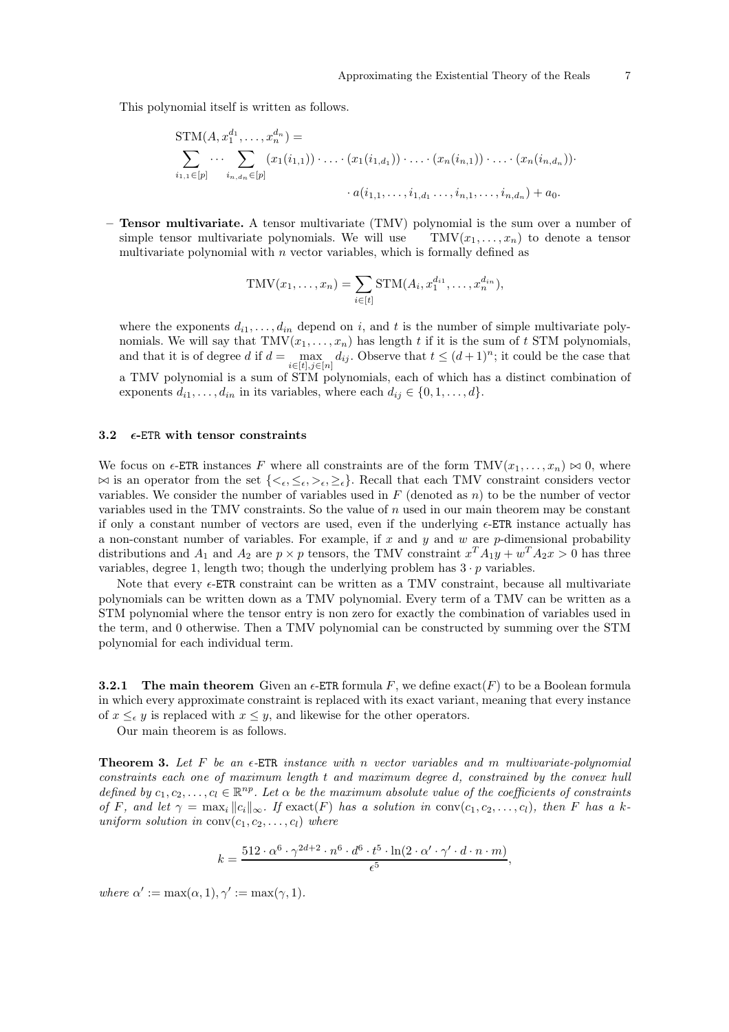This polynomial itself is written as follows.

$$
STM(A, x_1^{d_1}, \ldots, x_n^{d_n}) = \n\sum_{i_1, i_1 \in [p]} \cdots \sum_{i_n, d_n \in [p]} (x_1(i_{1,1})) \cdot \ldots \cdot (x_1(i_{1,d_1})) \cdot \ldots \cdot (x_n(i_{n,1})) \cdot \ldots \cdot (x_n(i_{n,d_n})) \cdot \ldots \cdot (x_n(i_{n,d_n})) \cdot \ldots \cdot (x_n(i_{n,d_n})) \cdot \ldots \cdot (x_n(i_{n,d_n})) \cdot \ldots \cdot (x_n(i_{n,d_n})) \cdot \ldots \cdot (x_n(i_{n,d_n})) \cdot \ldots \cdot (x_n(i_{n,d_n})) \cdot \ldots \cdot (x_n(i_{n,d_n})) \cdot \ldots \cdot (x_n(i_{n,d_n})) \cdot \ldots \cdot (x_n(i_{n,d_n})) \cdot \ldots \cdot (x_n(i_{n,d_n})) \cdot \ldots \cdot (x_n(i_{n,d_n})) \cdot \ldots \cdot (x_n(i_{n,d_n})) \cdot \ldots \cdot (x_n(i_{n,d_n})) \cdot \ldots \cdot (x_n(i_{n,d_n})) \cdot \ldots \cdot (x_n(i_{n,d_n})) \cdot \ldots \cdot (x_n(i_{n,d_n})) \cdot \ldots \cdot (x_n(i_{n,d_n})) \cdot \ldots \cdot (x_n(i_{n,d_n})) \cdot \ldots \cdot (x_n(i_{n,d_n})) \cdot \ldots \cdot (x_n(i_{n,d_n})) \cdot \ldots \cdot (x_n(i_{n,d_n})) \cdot \ldots \cdot (x_n(i_{n,d_n})) \cdot \ldots \cdot (x_n(i_{n,d_n})) \cdot \ldots \cdot (x_n(i_{n,d_n})) \cdot \ldots \cdot (x_n(i_{n,d_n})) \cdot \ldots \cdot (x_n(i_{n,d_n})) \cdot \ldots \cdot (x_n(i_{n,d_n})) \cdot \ldots \cdot (x_n(i_{n,d_n})) \cdot \ldots \cdot (x_n(i_{n,d_n})) \cdot \ldots \cdot (x_n(i_{n,d_n})) \cdot \ldots \cdot (x_n(i_{n,d_n})) \cdot \ldots \cdot (x_n(i_{n,d_n})) \cdot \ldots \cdot (x_n(i_{n,d_n})) \cdot \ldots \cdot (x_n(i_{n,d_n})) \cdot \ldots \cdot (x_n(i_{n,d_n})) \cdot \ldots \cdot (x_n(i_{n,d_n})) \cdot \ldots \cdot (x_n(i_{n,d_n})) \cdot \ldots \cdot (x_n(i_{n,d_n})) \cdot \ldots \cdot (x_n(i_{n,d_n})) \cdot \ldots \cdot (x_n(i_{n,d_n})) \cdot \ld
$$

– Tensor multivariate. A tensor multivariate (TMV) polynomial is the sum over a number of simple tensor multivariate polynomials. We will use  $\text{TMV}(x_1, \ldots, x_n)$  to denote a tensor multivariate polynomial with  $n$  vector variables, which is formally defined as

$$
TMV(x_1,\ldots,x_n)=\sum_{i\in[t]}STM(A_i,x_1^{d_{i1}},\ldots,x_n^{d_{in}}),
$$

where the exponents  $d_{i1}, \ldots, d_{in}$  depend on i, and t is the number of simple multivariate polynomials. We will say that  $TMV(x_1, \ldots, x_n)$  has length t if it is the sum of t STM polynomials, and that it is of degree d if  $d = \max_{i \in [t], j \in [n]} d_{ij}$ . Observe that  $t \leq (d+1)^n$ ; it could be the case that a TMV polynomial is a sum of STM polynomials, each of which has a distinct combination of exponents  $d_{i1}, \ldots, d_{in}$  in its variables, where each  $d_{ij} \in \{0, 1, \ldots, d\}$ .

## <span id="page-6-0"></span>3.2  $\epsilon$ -ETR with tensor constraints

We focus on  $\epsilon$ -ETR instances F where all constraints are of the form TMV $(x_1, \ldots, x_n) \bowtie 0$ , where  $\bowtie$  is an operator from the set  $\{\leq_{\epsilon}, \leq_{\epsilon}, \geq_{\epsilon}, \geq_{\epsilon}\}$ . Recall that each TMV constraint considers vector variables. We consider the number of variables used in  $F$  (denoted as  $n$ ) to be the number of vector variables used in the TMV constraints. So the value of  $n$  used in our main theorem may be constant if only a constant number of vectors are used, even if the underlying  $\epsilon$ -ETR instance actually has a non-constant number of variables. For example, if x and y and w are  $p$ -dimensional probability distributions and  $A_1$  and  $A_2$  are  $p \times p$  tensors, the TMV constraint  $x^T A_1 y + w^T A_2 x > 0$  has three variables, degree 1, length two; though the underlying problem has  $3 \cdot p$  variables.

Note that every  $\epsilon$ -ETR constraint can be written as a TMV constraint, because all multivariate polynomials can be written down as a TMV polynomial. Every term of a TMV can be written as a STM polynomial where the tensor entry is non zero for exactly the combination of variables used in the term, and 0 otherwise. Then a TMV polynomial can be constructed by summing over the STM polynomial for each individual term.

<span id="page-6-1"></span>**3.2.1** The main theorem Given an  $\epsilon$ -ETR formula F, we define exact(F) to be a Boolean formula in which every approximate constraint is replaced with its exact variant, meaning that every instance of  $x \leq_{\epsilon} y$  is replaced with  $x \leq y$ , and likewise for the other operators.

<span id="page-6-2"></span>Our main theorem is as follows.

**Theorem 3.** Let F be an  $\epsilon$ -ETR instance with n vector variables and m multivariate-polynomial constraints each one of maximum length t and maximum degree d, constrained by the convex hull defined by  $c_1, c_2, \ldots, c_l \in \mathbb{R}^{np}$ . Let  $\alpha$  be the maximum absolute value of the coefficients of constraints of F, and let  $\gamma = \max_i ||c_i||_{\infty}$ . If  $\text{exact}(F)$  has a solution in  $\text{conv}(c_1, c_2, \ldots, c_l)$ , then F has a kuniform solution in  $conv(c_1, c_2, \ldots, c_l)$  where

$$
k = \frac{512 \cdot \alpha^6 \cdot \gamma^{2d+2} \cdot n^6 \cdot d^6 \cdot t^5 \cdot \ln(2 \cdot \alpha' \cdot \gamma' \cdot d \cdot n \cdot m)}{\epsilon^5},
$$

where  $\alpha' := \max(\alpha, 1), \gamma' := \max(\gamma, 1).$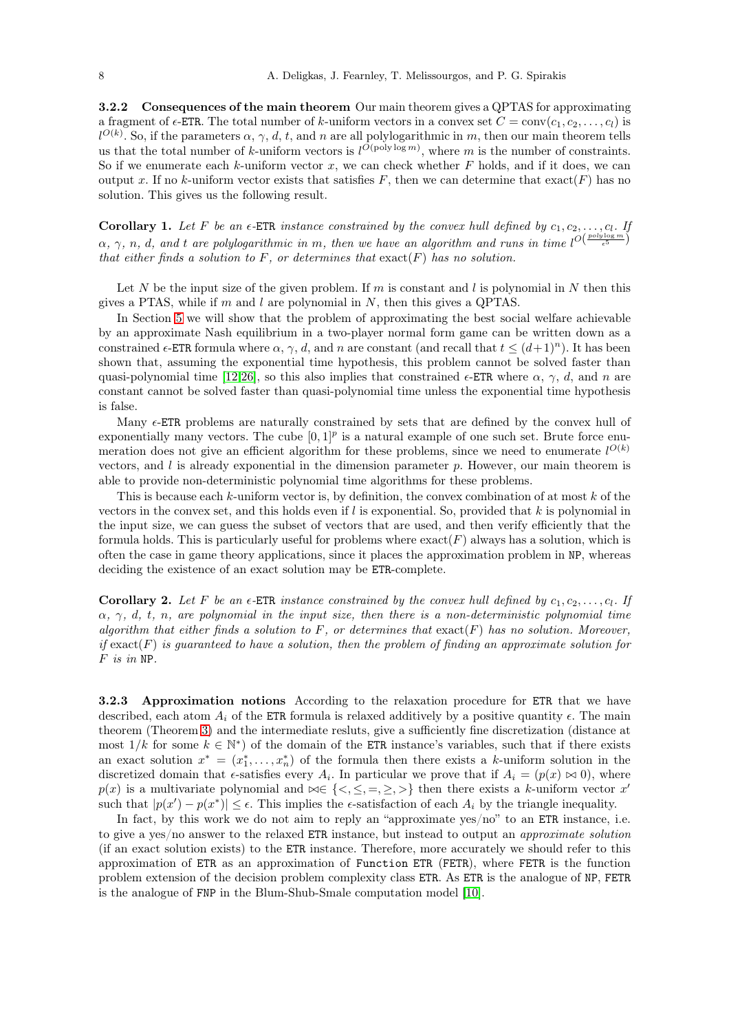<span id="page-7-0"></span>3.2.2 Consequences of the main theorem Our main theorem gives a QPTAS for approximating a fragment of  $\epsilon$ -ETR. The total number of k-uniform vectors in a convex set  $C = \text{conv}(c_1, c_2, \ldots, c_l)$  is  $l^{O(k)}$ . So, if the parameters  $\alpha, \gamma, d, t$ , and n are all polylogarithmic in m, then our main theorem tells us that the total number of k-uniform vectors is  $l^{O(\text{poly}\log m)}$ , where m is the number of constraints. So if we enumerate each  $k$ -uniform vector  $x$ , we can check whether  $F$  holds, and if it does, we can output x. If no k-uniform vector exists that satisfies F, then we can determine that  $\text{exact}(F)$  has no solution. This gives us the following result.

<span id="page-7-2"></span>**Corollary 1.** Let F be an  $\epsilon$ -ETR instance constrained by the convex hull defined by  $c_1, c_2, \ldots, c_l$ . If  $\alpha, \gamma, n, d$ , and t are polylogarithmic in m, then we have an algorithm and runs in time  $l^{O(\frac{poly\log m}{\epsilon^5})}$ that either finds a solution to F, or determines that  $\text{exact}(F)$  has no solution.

Let N be the input size of the given problem. If m is constant and l is polynomial in N then this gives a PTAS, while if m and l are polynomial in  $N$ , then this gives a QPTAS.

In Section [5](#page-18-0) we will show that the problem of approximating the best social welfare achievable by an approximate Nash equilibrium in a two-player normal form game can be written down as a constrained  $\epsilon$ -ETR formula where  $\alpha$ ,  $\gamma$ , d, and n are constant (and recall that  $t \leq (d+1)^n$ ). It has been shown that, assuming the exponential time hypothesis, this problem cannot be solved faster than quasi-polynomial time [\[12,](#page-27-5)[26\]](#page-27-6), so this also implies that constrained  $\epsilon$ -ETR where  $\alpha$ ,  $\gamma$ , d, and n are constant cannot be solved faster than quasi-polynomial time unless the exponential time hypothesis is false.

Many  $\epsilon$ -ETR problems are naturally constrained by sets that are defined by the convex hull of exponentially many vectors. The cube  $[0,1]^p$  is a natural example of one such set. Brute force enumeration does not give an efficient algorithm for these problems, since we need to enumerate  $l^{O(k)}$ vectors, and  $l$  is already exponential in the dimension parameter  $p$ . However, our main theorem is able to provide non-deterministic polynomial time algorithms for these problems.

This is because each  $k$ -uniform vector is, by definition, the convex combination of at most  $k$  of the vectors in the convex set, and this holds even if  $l$  is exponential. So, provided that  $k$  is polynomial in the input size, we can guess the subset of vectors that are used, and then verify efficiently that the formula holds. This is particularly useful for problems where  $\text{exact}(F)$  always has a solution, which is often the case in game theory applications, since it places the approximation problem in NP, whereas deciding the existence of an exact solution may be ETR-complete.

<span id="page-7-3"></span>**Corollary 2.** Let F be an  $\epsilon$ -ETR instance constrained by the convex hull defined by  $c_1, c_2, \ldots, c_l$ . If  $\alpha$ ,  $\gamma$ , d, t, n, are polynomial in the input size, then there is a non-deterministic polynomial time algorithm that either finds a solution to F, or determines that  $\text{exact}(F)$  has no solution. Moreover, if  $\text{exact}(F)$  is guaranteed to have a solution, then the problem of finding an approximate solution for F is in NP.

<span id="page-7-1"></span>3.2.3 Approximation notions According to the relaxation procedure for ETR that we have described, each atom  $A_i$  of the ETR formula is relaxed additively by a positive quantity  $\epsilon$ . The main theorem (Theorem [3\)](#page-6-2) and the intermediate resluts, give a sufficiently fine discretization (distance at most  $1/k$  for some  $k \in \mathbb{N}^*$ ) of the domain of the ETR instance's variables, such that if there exists an exact solution  $x^* = (x_1^*, \ldots, x_n^*)$  of the formula then there exists a k-uniform solution in the discretized domain that  $\epsilon$ -satisfies every  $A_i$ . In particular we prove that if  $A_i = (p(x) \bowtie 0)$ , where  $p(x)$  is a multivariate polynomial and  $\bowtie \in \{ \leq, \leq, =, \geq, \geq \}$  then there exists a k-uniform vector x' such that  $|p(x') - p(x^*)| \leq \epsilon$ . This implies the  $\epsilon$ -satisfaction of each  $A_i$  by the triangle inequality.

In fact, by this work we do not aim to reply an "approximate yes/no" to an ETR instance, i.e. to give a yes/no answer to the relaxed ETR instance, but instead to output an approximate solution (if an exact solution exists) to the ETR instance. Therefore, more accurately we should refer to this approximation of ETR as an approximation of Function ETR (FETR), where FETR is the function problem extension of the decision problem complexity class ETR. As ETR is the analogue of NP, FETR is the analogue of FNP in the Blum-Shub-Smale computation model [\[10\]](#page-27-7).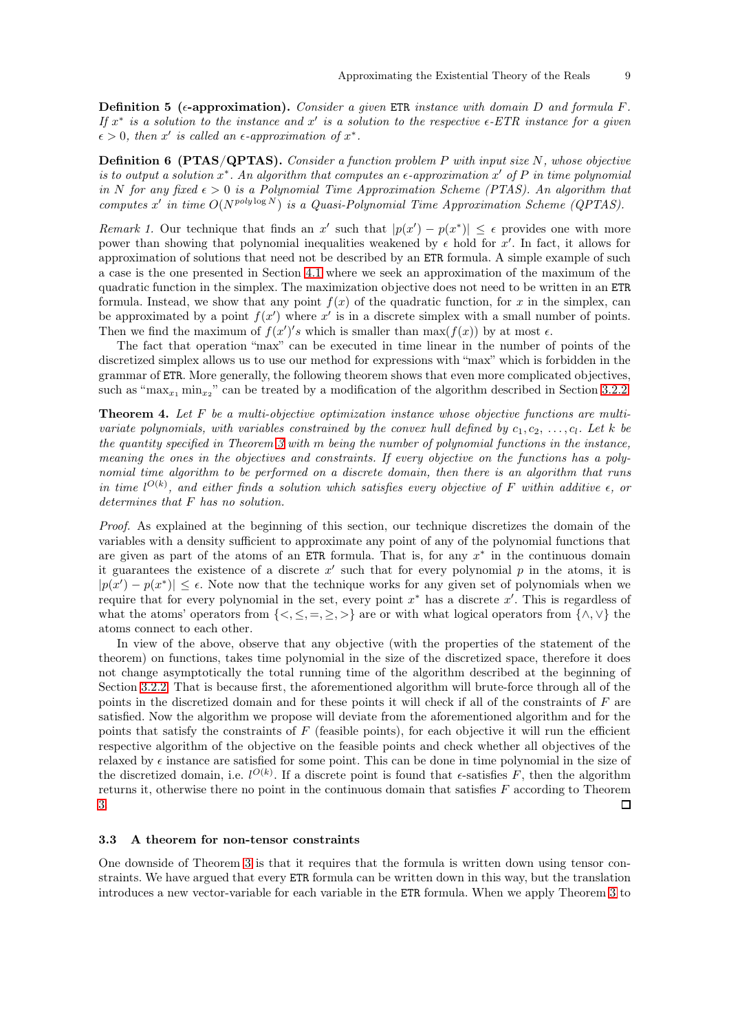**Definition 5** ( $\epsilon$ -approximation). Consider a given ETR instance with domain D and formula F. If  $x^*$  is a solution to the instance and  $x'$  is a solution to the respective  $\epsilon$ -ETR instance for a given  $\epsilon > 0$ , then x' is called an  $\epsilon$ -approximation of  $x^*$ .

**Definition 6 (PTAS/QPTAS).** Consider a function problem P with input size  $N$ , whose objective is to output a solution  $x^*$ . An algorithm that computes an  $\epsilon$ -approximation  $x'$  of P in time polynomial in N for any fixed  $\epsilon > 0$  is a Polynomial Time Approximation Scheme (PTAS). An algorithm that computes x' in time  $O(N^{poly \log N})$  is a Quasi-Polynomial Time Approximation Scheme (QPTAS).

<span id="page-8-1"></span>Remark 1. Our technique that finds an x' such that  $|p(x') - p(x^*)| \leq \epsilon$  provides one with more power than showing that polynomial inequalities weakened by  $\epsilon$  hold for x'. In fact, it allows for approximation of solutions that need not be described by an ETR formula. A simple example of such a case is the one presented in Section [4.1](#page-11-0) where we seek an approximation of the maximum of the quadratic function in the simplex. The maximization objective does not need to be written in an ETR formula. Instead, we show that any point  $f(x)$  of the quadratic function, for x in the simplex, can be approximated by a point  $f(x')$  where  $x'$  is in a discrete simplex with a small number of points. Then we find the maximum of  $f(x')'s$  which is smaller than  $\max(f(x))$  by at most  $\epsilon$ .

The fact that operation "max" can be executed in time linear in the number of points of the discretized simplex allows us to use our method for expressions with "max" which is forbidden in the grammar of ETR. More generally, the following theorem shows that even more complicated objectives, such as " $\max_{x_1} \min_{x_2}$ " can be treated by a modification of the algorithm described in Section [3.2.2.](#page-7-0)

<span id="page-8-2"></span>**Theorem 4.** Let  $F$  be a multi-objective optimization instance whose objective functions are multivariate polynomials, with variables constrained by the convex hull defined by  $c_1, c_2, \ldots, c_l$ . Let k be the quantity specified in Theorem [3](#page-6-2) with m being the number of polynomial functions in the instance, meaning the ones in the objectives and constraints. If every objective on the functions has a polynomial time algorithm to be performed on a discrete domain, then there is an algorithm that runs in time  $l^{O(k)}$ , and either finds a solution which satisfies every objective of F within additive  $\epsilon$ , or determines that F has no solution.

Proof. As explained at the beginning of this section, our technique discretizes the domain of the variables with a density sufficient to approximate any point of any of the polynomial functions that are given as part of the atoms of an ETR formula. That is, for any  $x^*$  in the continuous domain it guarantees the existence of a discrete  $x'$  such that for every polynomial  $p$  in the atoms, it is  $|p(x') - p(x^*)| \leq \epsilon$ . Note now that the technique works for any given set of polynomials when we require that for every polynomial in the set, every point  $x^*$  has a discrete  $x'$ . This is regardless of what the atoms' operators from  $\{<,\leq, =, \geq, >\}$  are or with what logical operators from  $\{\wedge,\vee\}$  the atoms connect to each other.

In view of the above, observe that any objective (with the properties of the statement of the theorem) on functions, takes time polynomial in the size of the discretized space, therefore it does not change asymptotically the total running time of the algorithm described at the beginning of Section [3.2.2.](#page-7-0) That is because first, the aforementioned algorithm will brute-force through all of the points in the discretized domain and for these points it will check if all of the constraints of F are satisfied. Now the algorithm we propose will deviate from the aforementioned algorithm and for the points that satisfy the constraints of  $F$  (feasible points), for each objective it will run the efficient respective algorithm of the objective on the feasible points and check whether all objectives of the relaxed by  $\epsilon$  instance are satisfied for some point. This can be done in time polynomial in the size of the discretized domain, i.e.  $l^{O(k)}$ . If a discrete point is found that  $\epsilon$ -satisfies F, then the algorithm returns it, otherwise there no point in the continuous domain that satisfies F according to Theorem [3.](#page-6-2) □

#### <span id="page-8-0"></span>3.3 A theorem for non-tensor constraints

One downside of Theorem [3](#page-6-2) is that it requires that the formula is written down using tensor constraints. We have argued that every ETR formula can be written down in this way, but the translation introduces a new vector-variable for each variable in the ETR formula. When we apply Theorem [3](#page-6-2) to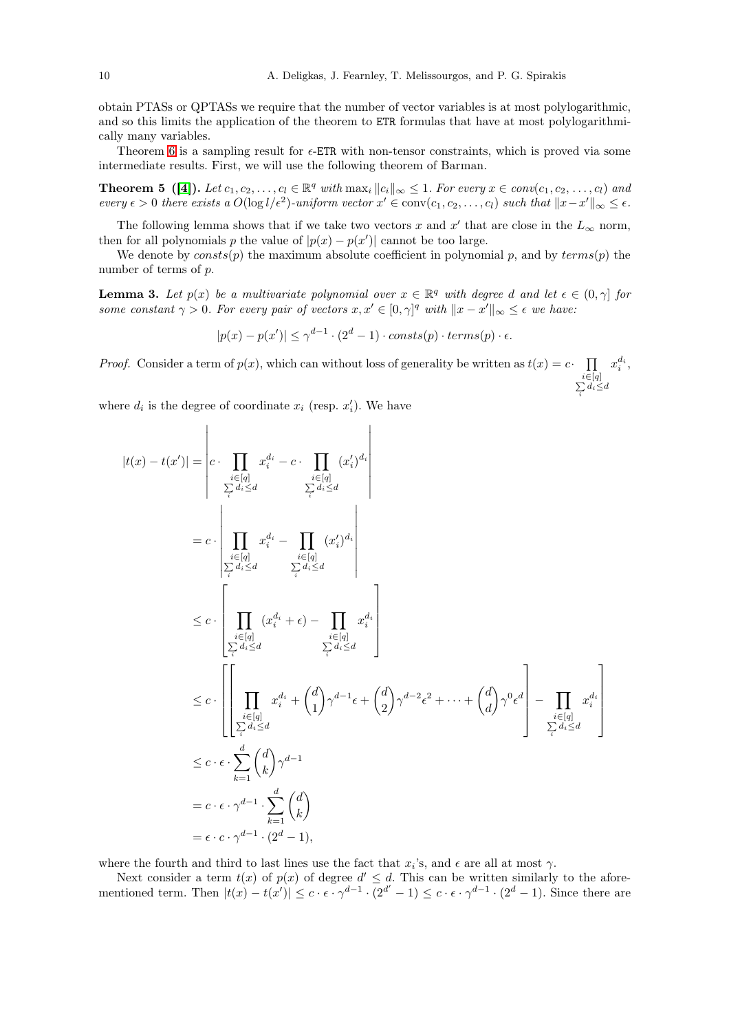obtain PTASs or QPTASs we require that the number of vector variables is at most polylogarithmic, and so this limits the application of the theorem to ETR formulas that have at most polylogarithmically many variables.

Theorem [6](#page-10-1) is a sampling result for  $\epsilon$ -ETR with non-tensor constraints, which is proved via some intermediate results. First, we will use the following theorem of Barman.

**Theorem 5** ([\[4\]](#page-26-2)). Let  $c_1, c_2, \ldots, c_l \in \mathbb{R}^q$  with  $\max_i ||c_i||_{\infty} \leq 1$ . For every  $x \in conv(c_1, c_2, \ldots, c_l)$  and every  $\epsilon > 0$  there exists a  $O(\log l/\epsilon^2)$ -uniform vector  $x' \in \text{conv}(c_1, c_2, ..., c_l)$  such that  $||x - x'||_{\infty} \leq \epsilon$ .

The following lemma shows that if we take two vectors x and x' that are close in the  $L_{\infty}$  norm, then for all polynomials p the value of  $|p(x) - p(x')|$  cannot be too large.

<span id="page-9-1"></span>We denote by  $consts(p)$  the maximum absolute coefficient in polynomial p, and by  $terms(p)$  the number of terms of p.

**Lemma 3.** Let  $p(x)$  be a multivariate polynomial over  $x \in \mathbb{R}^q$  with degree d and let  $\epsilon \in (0, \gamma]$  for some constant  $\gamma > 0$ . For every pair of vectors  $x, x' \in [0, \gamma]^q$  with  $||x - x'||_{\infty} \leq \epsilon$  we have:

<span id="page-9-0"></span> $|p(x) - p(x')| \leq \gamma^{d-1} \cdot (2^d - 1) \cdot consts(p) \cdot terms(p) \cdot \epsilon.$ 

*Proof.* Consider a term of  $p(x)$ , which can without loss of generality be written as  $t(x) = c \cdot \prod_{x \in \Lambda} x_i^{d_i}$ ,  $\sum_{i\leq d}^{i\in[q]}$ i

where  $d_i$  is the degree of coordinate  $x_i$  (resp.  $x'_i$ ). We have

$$
|t(x) - t(x')| = \begin{vmatrix} c & \prod_{i \in [q]} x_i^{d_i} - c & \prod_{i \in [q]} (x_i')^{d_i} \\ \sum_{i} d_i \le d & \sum_{i} d_i \le d \\ \prod_{i} d_i' & \sum_{i} d_i' \le d \end{vmatrix}
$$
  
\n
$$
= c \cdot \left| \prod_{\substack{i \in [q] \\ \sum_{i} d_i \le d}} x_i^{d_i} - \prod_{\substack{i \in [q] \\ \sum_{i} d_i \le d}} (x_i')^{d_i} \right|
$$
  
\n
$$
\le c \cdot \left[ \prod_{\substack{i \in [q] \\ \sum_{i} d_i \le d}} (x_i^{d_i} + \epsilon) - \prod_{i} x_i^{d_i} \right]
$$
  
\n
$$
\le c \cdot \left[ \prod_{\substack{i \in [q] \\ \sum_{i} d_i \le d}} x_i^{d_i} + {d \choose 1} \gamma^{d-1} \epsilon + {d \choose 2} \gamma^{d-2} \epsilon^2 + \dots + {d \choose d} \gamma^0 \epsilon^d \right] - \prod_{\substack{i \in [q] \\ \sum_{i} d_i \le d}} x_i^{d_i} \right]
$$
  
\n
$$
\le c \cdot \epsilon \cdot \sum_{k=1}^d {d \choose k} \gamma^{d-1}
$$
  
\n
$$
= c \cdot \epsilon \cdot \gamma^{d-1} \cdot \sum_{k=1}^d {d \choose k}
$$
  
\n
$$
= \epsilon \cdot c \cdot \gamma^{d-1} \cdot (2^d - 1),
$$

where the fourth and third to last lines use the fact that  $x_i$ 's, and  $\epsilon$  are all at most  $\gamma$ .

Next consider a term  $t(x)$  of  $p(x)$  of degree  $d' \leq d$ . This can be written similarly to the aforementioned term. Then  $|t(x) - t(x')| \leq c \cdot \epsilon \cdot \gamma^{d-1} \cdot (2^{d'} - 1) \leq c \cdot \epsilon \cdot \gamma^{d-1} \cdot (2^d - 1)$ . Since there are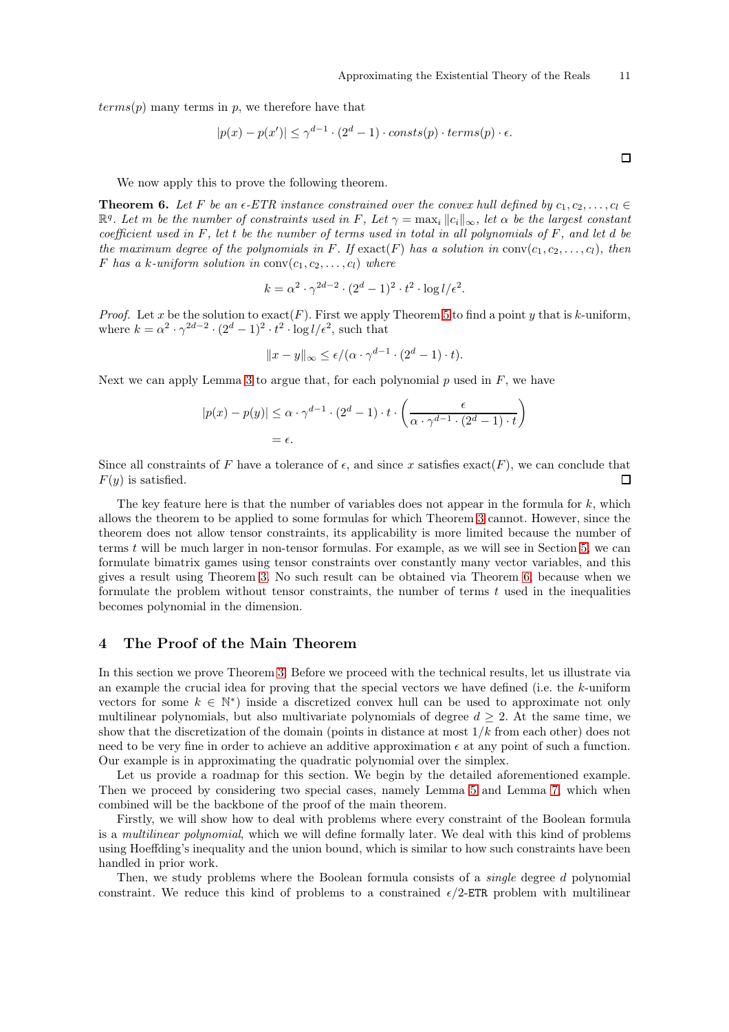$terms(p)$  many terms in p, we therefore have that

$$
|p(x) - p(x')| \le \gamma^{d-1} \cdot (2^d - 1) \cdot const(s(p) \cdot terms(p) \cdot \epsilon.
$$

We now apply this to prove the following theorem.

**Theorem 6.** Let F be an  $\epsilon$ -ETR instance constrained over the convex hull defined by  $c_1, c_2, \ldots, c_l \in$  $\mathbb{R}^q$ . Let m be the number of constraints used in F, Let  $\gamma = \max_i ||c_i||_{\infty}$ , let  $\alpha$  be the largest constant coefficient used in F, let t be the number of terms used in total in all polynomials of F, and let d be the maximum degree of the polynomials in F. If  $\text{exact}(F)$  has a solution in  $\text{conv}(c_1, c_2, \ldots, c_l)$ , then F has a k-uniform solution in  $conv(c_1, c_2, \ldots, c_l)$  where

<span id="page-10-1"></span>
$$
k = \alpha^2 \cdot \gamma^{2d-2} \cdot (2^d - 1)^2 \cdot t^2 \cdot \log l/\epsilon^2.
$$

*Proof.* Let x be the solution to  $\text{exact}(F)$ . First we apply Theorem [5](#page-9-0) to find a point y that is k-uniform, where  $k = \alpha^2 \cdot \gamma^{2d-2} \cdot (2^d - 1)^2 \cdot t^2 \cdot \log l / \epsilon^2$ , such that

$$
||x - y||_{\infty} \le \epsilon/(\alpha \cdot \gamma^{d-1} \cdot (2^d - 1) \cdot t).
$$

Next we can apply Lemma [3](#page-9-1) to argue that, for each polynomial  $p$  used in  $F$ , we have

$$
|p(x) - p(y)| \leq \alpha \cdot \gamma^{d-1} \cdot (2^d - 1) \cdot t \cdot \left(\frac{\epsilon}{\alpha \cdot \gamma^{d-1} \cdot (2^d - 1) \cdot t}\right)
$$
  
=  $\epsilon$ .

Since all constraints of F have a tolerance of  $\epsilon$ , and since x satisfies exact(F), we can conclude that  $F(y)$  is satisfied. п

The key feature here is that the number of variables does not appear in the formula for  $k$ , which allows the theorem to be applied to some formulas for which Theorem [3](#page-6-2) cannot. However, since the theorem does not allow tensor constraints, its applicability is more limited because the number of terms t will be much larger in non-tensor formulas. For example, as we will see in Section [5,](#page-18-0) we can formulate bimatrix games using tensor constraints over constantly many vector variables, and this gives a result using Theorem [3.](#page-6-2) No such result can be obtained via Theorem [6,](#page-10-1) because when we formulate the problem without tensor constraints, the number of terms  $t$  used in the inequalities becomes polynomial in the dimension.

# <span id="page-10-0"></span>4 The Proof of the Main Theorem

In this section we prove Theorem [3.](#page-6-2) Before we proceed with the technical results, let us illustrate via an example the crucial idea for proving that the special vectors we have defined (i.e. the k-uniform vectors for some  $k \in \mathbb{N}^*$ ) inside a discretized convex hull can be used to approximate not only multilinear polynomials, but also multivariate polynomials of degree  $d \geq 2$ . At the same time, we show that the discretization of the domain (points in distance at most  $1/k$  from each other) does not need to be very fine in order to achieve an additive approximation  $\epsilon$  at any point of such a function. Our example is in approximating the quadratic polynomial over the simplex.

Let us provide a roadmap for this section. We begin by the detailed aforementioned example. Then we proceed by considering two special cases, namely Lemma [5](#page-13-2) and Lemma [7,](#page-16-1) which when combined will be the backbone of the proof of the main theorem.

Firstly, we will show how to deal with problems where every constraint of the Boolean formula is a multilinear polynomial, which we will define formally later. We deal with this kind of problems using Hoeffding's inequality and the union bound, which is similar to how such constraints have been handled in prior work.

Then, we study problems where the Boolean formula consists of a *single* degree d polynomial constraint. We reduce this kind of problems to a constrained  $\epsilon/2$ -ETR problem with multilinear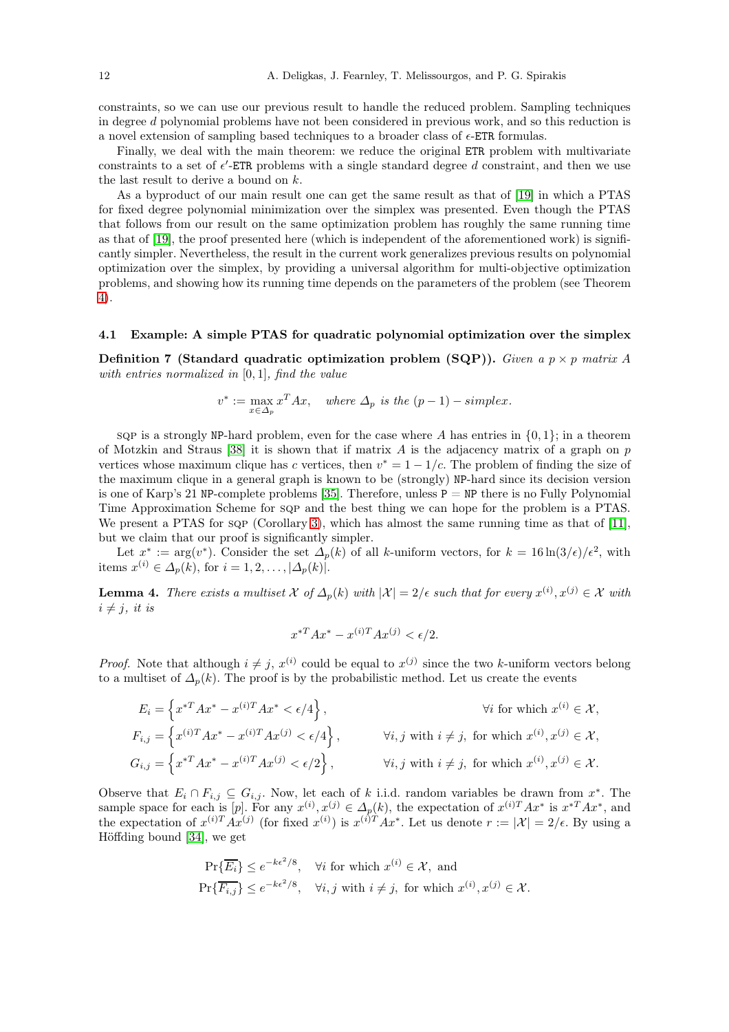constraints, so we can use our previous result to handle the reduced problem. Sampling techniques in degree d polynomial problems have not been considered in previous work, and so this reduction is a novel extension of sampling based techniques to a broader class of  $\epsilon$ -ETR formulas.

Finally, we deal with the main theorem: we reduce the original ETR problem with multivariate constraints to a set of  $\epsilon'$ -ETR problems with a single standard degree d constraint, and then we use the last result to derive a bound on k.

As a byproduct of our main result one can get the same result as that of [\[19\]](#page-27-8) in which a PTAS for fixed degree polynomial minimization over the simplex was presented. Even though the PTAS that follows from our result on the same optimization problem has roughly the same running time as that of [\[19\]](#page-27-8), the proof presented here (which is independent of the aforementioned work) is significantly simpler. Nevertheless, the result in the current work generalizes previous results on polynomial optimization over the simplex, by providing a universal algorithm for multi-objective optimization problems, and showing how its running time depends on the parameters of the problem (see Theorem [4\)](#page-8-2).

#### <span id="page-11-0"></span>4.1 Example: A simple PTAS for quadratic polynomial optimization over the simplex

Definition 7 (Standard quadratic optimization problem (SQP)). Given a  $p \times p$  matrix A with entries normalized in  $[0, 1]$ , find the value

$$
v^* := \max_{x \in \Delta_p} x^T A x, \quad where \ \Delta_p \ is \ the \ (p-1) - simplex.
$$

sqp is a strongly NP-hard problem, even for the case where A has entries in  $\{0, 1\}$ ; in a theorem of Motzkin and Straus [\[38\]](#page-28-1) it is shown that if matrix  $\vec{A}$  is the adjacency matrix of a graph on p vertices whose maximum clique has c vertices, then  $v^* = 1 - 1/c$ . The problem of finding the size of the maximum clique in a general graph is known to be (strongly) NP-hard since its decision version is one of Karp's 21 NP-complete problems [\[35\]](#page-27-9). Therefore, unless  $P = NP$  there is no Fully Polynomial Time Approximation Scheme for sqp and the best thing we can hope for the problem is a PTAS. We present a PTAS for sqp (Corollary [3\)](#page-12-0), which has almost the same running time as that of [\[11\]](#page-27-10), but we claim that our proof is significantly simpler.

<span id="page-11-1"></span>Let  $x^* := \arg(v^*)$ . Consider the set  $\Delta_p(k)$  of all k-uniform vectors, for  $k = 16 \ln(3/\epsilon)/\epsilon^2$ , with items  $x^{(i)} \in \Delta_p(k)$ , for  $i = 1, 2, \ldots, |\Delta_p(k)|$ .

**Lemma 4.** There exists a multiset  $\mathcal X$  of  $\Delta_p(k)$  with  $|\mathcal X|=2/\epsilon$  such that for every  $x^{(i)}, x^{(j)} \in \mathcal X$  with  $i \neq j$ , it is

$$
x^{*T}Ax^* - x^{(i)T}Ax^{(j)} < \epsilon/2.
$$

*Proof.* Note that although  $i \neq j$ ,  $x^{(i)}$  could be equal to  $x^{(j)}$  since the two k-uniform vectors belong to a multiset of  $\Delta_n(k)$ . The proof is by the probabilistic method. Let us create the events

$$
E_i = \left\{ x^{*T} A x^* - x^{(i)T} A x^* < \epsilon/4 \right\}, \qquad \forall i \text{ for which } x^{(i)} \in \mathcal{X},
$$
\n
$$
F_{i,j} = \left\{ x^{(i)T} A x^* - x^{(i)T} A x^{(j)} < \epsilon/4 \right\}, \qquad \forall i, j \text{ with } i \neq j, \text{ for which } x^{(i)}, x^{(j)} \in \mathcal{X},
$$
\n
$$
G_{i,j} = \left\{ x^{*T} A x^* - x^{(i)T} A x^{(j)} < \epsilon/2 \right\}, \qquad \forall i, j \text{ with } i \neq j, \text{ for which } x^{(i)}, x^{(j)} \in \mathcal{X}.
$$

Observe that  $E_i \cap F_{i,j} \subseteq G_{i,j}$ . Now, let each of k i.i.d. random variables be drawn from  $x^*$ . The sample space for each is [p]. For any  $x^{(i)}$ ,  $x^{(j)} \in \Delta_p(k)$ , the expectation of  $x^{(i)T}Ax^*$  is  $x^{*T}Ax^*$ , and the expectation of  $x^{(i)T}Ax^{(j)}$  (for fixed  $x^{(i)}$ ) is  $x^{(i)T}Ax^*$ . Let us denote  $r := |\mathcal{X}| = 2/\epsilon$ . By using a Höffding bound [\[34\]](#page-27-11), we get

$$
\Pr\{\overline{E_i}\} \le e^{-k\epsilon^2/8}, \quad \forall i \text{ for which } x^{(i)} \in \mathcal{X}, \text{ and}
$$
  

$$
\Pr\{\overline{F_{i,j}}\} \le e^{-k\epsilon^2/8}, \quad \forall i, j \text{ with } i \ne j, \text{ for which } x^{(i)}, x^{(j)} \in \mathcal{X}.
$$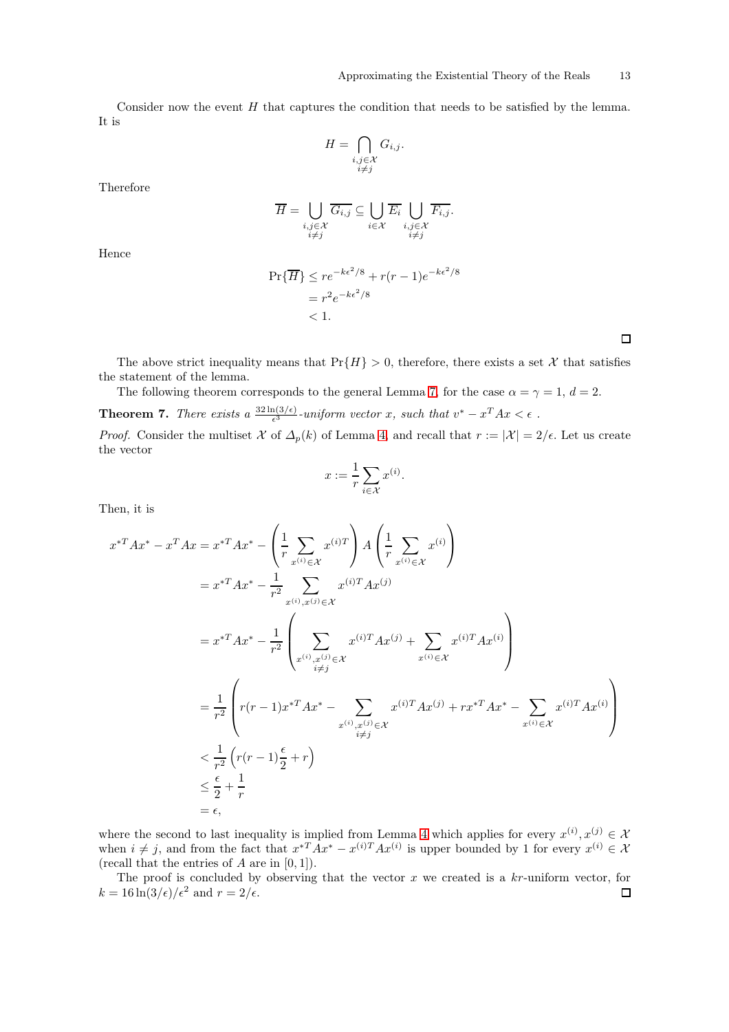Consider now the event  $H$  that captures the condition that needs to be satisfied by the lemma. It is

$$
H = \bigcap_{\substack{i,j \in \mathcal{X} \\ i \neq j}} G_{i,j}.
$$

Therefore

$$
\overline{H} = \bigcup_{\substack{i,j \in \mathcal{X} \\ i \neq j}} \overline{G_{i,j}} \subseteq \bigcup_{i \in \mathcal{X}} \overline{E_i} \bigcup_{\substack{i,j \in \mathcal{X} \\ i \neq j}} \overline{F_{i,j}}.
$$

Hence

$$
\Pr{\overline{H}} \le r e^{-k\epsilon^2/8} + r(r-1)e^{-k\epsilon^2/8}
$$
  
=  $r^2 e^{-k\epsilon^2/8}$   
< 1.

 $\Box$ 

The above strict inequality means that  $Pr{H} > 0$ , therefore, there exists a set X that satisfies the statement of the lemma.

<span id="page-12-1"></span>The following theorem corresponds to the general Lemma [7,](#page-16-1) for the case  $\alpha = \gamma = 1, d = 2$ . **Theorem 7.** There exists a  $\frac{32 \ln(3/\epsilon)}{\epsilon^3}$ -uniform vector x, such that  $v^* - x^T A x < \epsilon$ .

*Proof.* Consider the multiset X of  $\Delta_p(k)$  of Lemma [4,](#page-11-1) and recall that  $r := |\mathcal{X}| = 2/\epsilon$ . Let us create the vector

$$
x := \frac{1}{r} \sum_{i \in \mathcal{X}} x^{(i)}.
$$

Then, it is

$$
x^{*T}Ax^{*} - x^{T}Ax = x^{*T}Ax^{*} - \left(\frac{1}{r}\sum_{x^{(i)} \in \mathcal{X}} x^{(i)T}\right) A \left(\frac{1}{r}\sum_{x^{(i)} \in \mathcal{X}} x^{(i)}\right)
$$
  
\n
$$
= x^{*T}Ax^{*} - \frac{1}{r^{2}}\sum_{x^{(i)}, x^{(j)} \in \mathcal{X}} x^{(i)T}Ax^{(j)}
$$
  
\n
$$
= x^{*T}Ax^{*} - \frac{1}{r^{2}}\left(\sum_{x^{(i)}, x^{(j)} \in \mathcal{X}} x^{(i)T}Ax^{(j)} + \sum_{x^{(i)} \in \mathcal{X}} x^{(i)T}Ax^{(i)}\right)
$$
  
\n
$$
= \frac{1}{r^{2}}\left(r(r-1)x^{*T}Ax^{*} - \sum_{x^{(i)}, x^{(j)} \in \mathcal{X}} x^{(i)T}Ax^{(j)} + rx^{*T}Ax^{*} - \sum_{x^{(i)} \in \mathcal{X}} x^{(i)T}Ax^{(i)}\right)
$$
  
\n
$$
< \frac{1}{r^{2}}\left(r(r-1)\frac{\epsilon}{2} + r\right)
$$
  
\n
$$
\leq \frac{\epsilon}{2} + \frac{1}{r}
$$
  
\n
$$
= \epsilon,
$$

where the second to last inequality is implied from Lemma [4](#page-11-1) which applies for every  $x^{(i)}$ ,  $x^{(j)} \in \mathcal{X}$ when  $i \neq j$ , and from the fact that  $x^{*T}Ax^{*} - x^{(i)T}Ax^{(i)}$  is upper bounded by 1 for every  $x^{(i)} \in \mathcal{X}$ (recall that the entries of  $A$  are in  $[0, 1]$ ).

<span id="page-12-0"></span>The proof is concluded by observing that the vector  $x$  we created is a  $kr$ -uniform vector, for  $k = 16 \ln(3/\epsilon)/\epsilon^2$  and  $r = 2/\epsilon$ .  $\Box$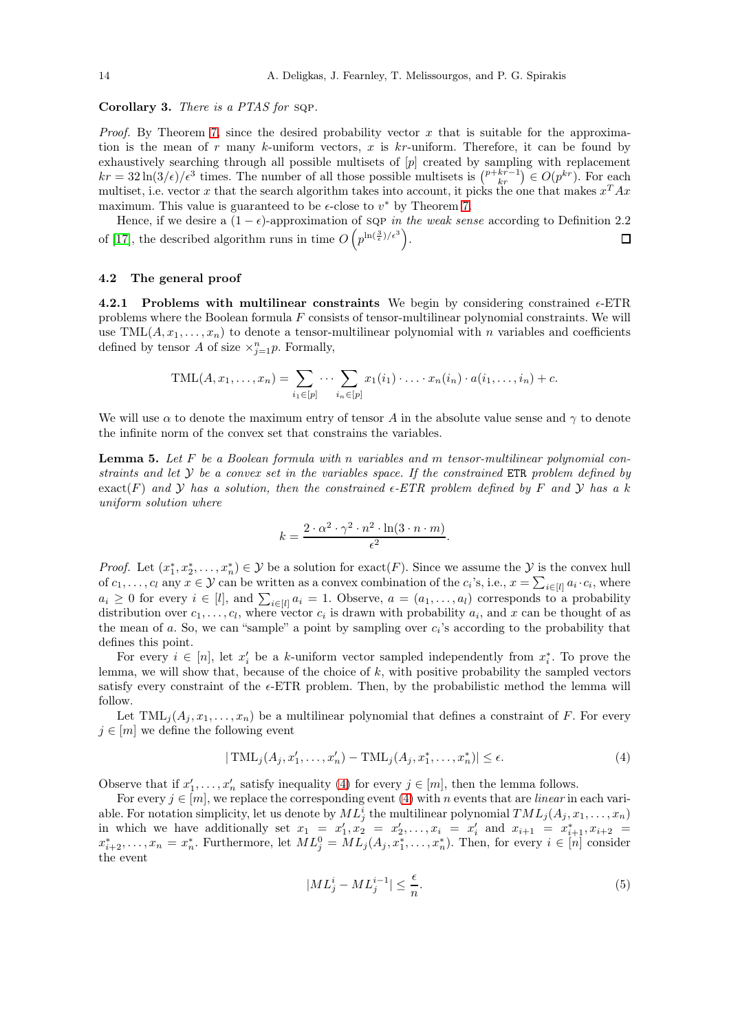Corollary 3. There is a PTAS for sqp.

*Proof.* By Theorem [7,](#page-12-1) since the desired probability vector x that is suitable for the approximation is the mean of r many k-uniform vectors, x is  $kr$ -uniform. Therefore, it can be found by exhaustively searching through all possible multisets of [p] created by sampling with replacement  $kr = 32 \ln(3/\epsilon)/\epsilon^3$  times. The number of all those possible multisets is  $\binom{p+kr-1}{kr} \in O(p^{kr})$ . For each multiset, i.e. vector x that the search algorithm takes into account, it picks the one that makes  $x^T A x$ maximum. This value is guaranteed to be  $\epsilon$ -close to  $v^*$  by Theorem [7.](#page-12-1)

Hence, if we desire a  $(1 - \epsilon)$ -approximation of sqp in the weak sense according to Definition 2.2 of [\[17\]](#page-27-12), the described algorithm runs in time  $O(p^{\ln(\frac{3}{\epsilon})/\epsilon^3})$ .  $\Box$ 

#### <span id="page-13-1"></span><span id="page-13-0"></span>4.2 The general proof

4.2.1 Problems with multilinear constraints We begin by considering constrained  $\epsilon$ -ETR problems where the Boolean formula F consists of tensor-multilinear polynomial constraints. We will use TML $(A, x_1, \ldots, x_n)$  to denote a tensor-multilinear polynomial with n variables and coefficients defined by tensor A of size  $\times_{j=1}^n p$ . Formally,

$$
TML(A, x_1, \ldots, x_n) = \sum_{i_1 \in [p]} \cdots \sum_{i_n \in [p]} x_1(i_1) \cdot \ldots \cdot x_n(i_n) \cdot a(i_1, \ldots, i_n) + c.
$$

<span id="page-13-2"></span>We will use  $\alpha$  to denote the maximum entry of tensor A in the absolute value sense and  $\gamma$  to denote the infinite norm of the convex set that constrains the variables.

**Lemma 5.** Let  $F$  be a Boolean formula with n variables and  $m$  tensor-multilinear polynomial constraints and let  $Y$  be a convex set in the variables space. If the constrained ETR problem defined by exact(F) and Y has a solution, then the constrained  $\epsilon$ -ETR problem defined by F and Y has a k uniform solution where

$$
k = \frac{2 \cdot \alpha^2 \cdot \gamma^2 \cdot n^2 \cdot \ln(3 \cdot n \cdot m)}{\epsilon^2}.
$$

*Proof.* Let  $(x_1^*, x_2^*, \ldots, x_n^*) \in \mathcal{Y}$  be a solution for exact(F). Since we assume the  $\mathcal{Y}$  is the convex hull of  $c_1, \ldots, c_l$  any  $x \in \mathcal{Y}$  can be written as a convex combination of the  $c_i$ 's, i.e.,  $x = \sum_{i \in [l]} a_i \cdot c_i$ , where  $a_i \geq 0$  for every  $i \in [l]$ , and  $\sum_{i \in [l]} a_i = 1$ . Observe,  $a = (a_1, \ldots, a_l)$  corresponds to a probability distribution over  $c_1, \ldots, c_l$ , where vector  $c_i$  is drawn with probability  $a_i$ , and x can be thought of as the mean of a. So, we can "sample" a point by sampling over  $c_i$ 's according to the probability that defines this point.

For every  $i \in [n]$ , let  $x'_i$  be a k-uniform vector sampled independently from  $x_i^*$ . To prove the lemma, we will show that, because of the choice of  $k$ , with positive probability the sampled vectors satisfy every constraint of the  $\epsilon$ -ETR problem. Then, by the probabilistic method the lemma will follow.

Let  $\text{TML}_{j}(A_j, x_1, \ldots, x_n)$  be a multilinear polynomial that defines a constraint of F. For every  $j \in [m]$  we define the following event

$$
|\text{TML}_j(A_j, x'_1, \dots, x'_n) - \text{TML}_j(A_j, x^*_1, \dots, x^*_n)| \le \epsilon.
$$
\n
$$
(4)
$$

Observe that if  $x'_1, \ldots, x'_n$  satisfy inequality [\(4\)](#page-13-3) for every  $j \in [m]$ , then the lemma follows.

For every  $j \in [m]$ , we replace the corresponding event [\(4\)](#page-13-3) with n events that are *linear* in each variable. For notation simplicity, let us denote by  $ML_j^i$  the multilinear polynomial  $TML_j(A_j, x_1, \ldots, x_n)$ in which we have additionally set  $x_1 = x'_1, x_2 = x'_2, ..., x_i = x'_i$  and  $x_{i+1} = x^*_{i+1}, x_{i+2} = x'_i$  $x_{i+2}^*,\ldots,x_n=x_n^*$ . Furthermore, let  $ML_j^0=ML_j(A_j,x_1^*,\ldots,x_n^*)$ . Then, for every  $i\in[n]$  consider the event

<span id="page-13-4"></span><span id="page-13-3"></span>
$$
|ML_j^i - ML_j^{i-1}| \le \frac{\epsilon}{n}.\tag{5}
$$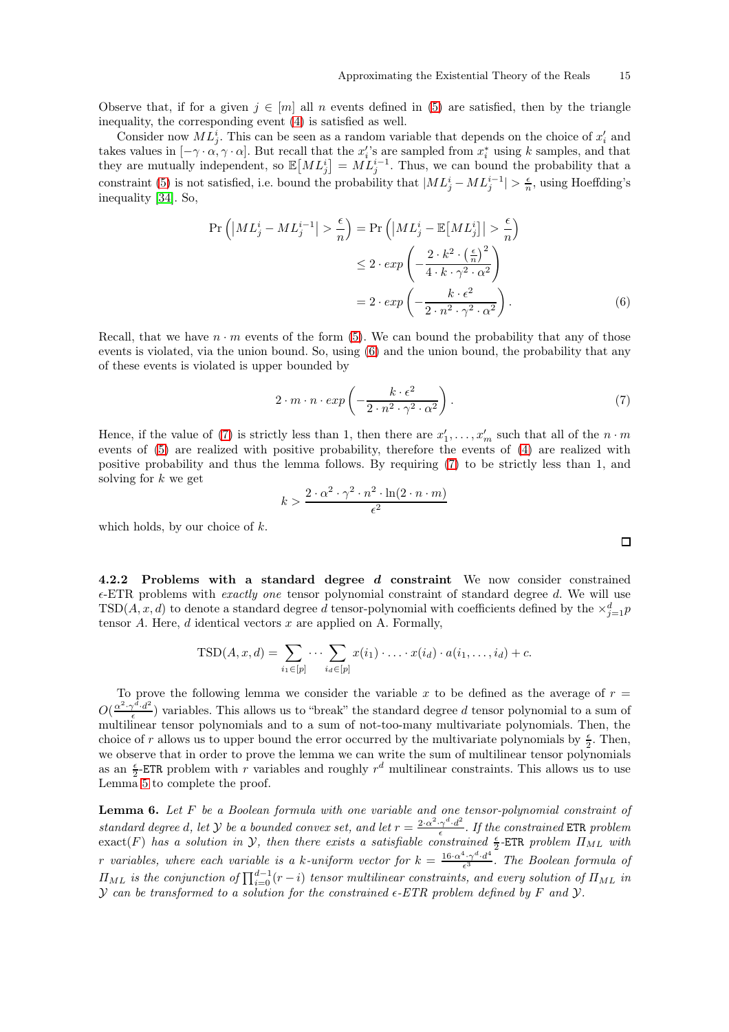Observe that, if for a given  $j \in [m]$  all n events defined in [\(5\)](#page-13-4) are satisfied, then by the triangle inequality, the corresponding event [\(4\)](#page-13-3) is satisfied as well.

Consider now  $ML_j^i$ . This can be seen as a random variable that depends on the choice of  $x_i'$  and takes values in  $[-\gamma \cdot \alpha, \gamma \cdot \alpha]$ . But recall that the  $x_i'$ 's are sampled from  $x_i^*$  using k samples, and that they are mutually independent, so  $\mathbb{E}[ML_j^i] = ML_j^{i-1}$ . Thus, we can bound the probability that a constraint [\(5\)](#page-13-4) is not satisfied, i.e. bound the probability that  $|ML_j^i - ML_j^{i-1}| > \frac{\epsilon}{n}$ , using Hoeffding's inequality [\[34\]](#page-27-11). So,

$$
\Pr\left(\left|ML_j^i - ML_j^{i-1}\right| > \frac{\epsilon}{n}\right) = \Pr\left(\left|ML_j^i - \mathbb{E}\left[ML_j^i\right]\right| > \frac{\epsilon}{n}\right) \\
\leq 2 \cdot \exp\left(-\frac{2 \cdot k^2 \cdot \left(\frac{\epsilon}{n}\right)^2}{4 \cdot k \cdot \gamma^2 \cdot \alpha^2}\right) \\
= 2 \cdot \exp\left(-\frac{k \cdot \epsilon^2}{2 \cdot n^2 \cdot \gamma^2 \cdot \alpha^2}\right). \tag{6}
$$

Recall, that we have  $n \cdot m$  events of the form [\(5\)](#page-13-4). We can bound the probability that any of those events is violated, via the union bound. So, using [\(6\)](#page-14-1) and the union bound, the probability that any of these events is violated is upper bounded by

$$
2 \cdot m \cdot n \cdot exp\left(-\frac{k \cdot \epsilon^2}{2 \cdot n^2 \cdot \gamma^2 \cdot \alpha^2}\right).
$$
 (7)

Hence, if the value of [\(7\)](#page-14-2) is strictly less than 1, then there are  $x'_1, \ldots, x'_m$  such that all of the  $n \cdot m$ events of [\(5\)](#page-13-4) are realized with positive probability, therefore the events of [\(4\)](#page-13-3) are realized with positive probability and thus the lemma follows. By requiring [\(7\)](#page-14-2) to be strictly less than 1, and solving for  $k$  we get

$$
k > \frac{2 \cdot \alpha^2 \cdot \gamma^2 \cdot n^2 \cdot \ln(2 \cdot n \cdot m)}{\epsilon^2}
$$

which holds, by our choice of  $k$ .

<span id="page-14-0"></span>4.2.2 Problems with a standard degree d constraint We now consider constrained  $\epsilon$ -ETR problems with *exactly one* tensor polynomial constraint of standard degree d. We will use TSD(A, x, d) to denote a standard degree d tensor-polynomial with coefficients defined by the  $\times_{j=1}^{d} p$ tensor  $A$ . Here,  $d$  identical vectors  $x$  are applied on  $A$ . Formally,

$$
TSD(A, x, d) = \sum_{i_1 \in [p]} \cdots \sum_{i_d \in [p]} x(i_1) \cdot \ldots \cdot x(i_d) \cdot a(i_1, \ldots, i_d) + c.
$$

To prove the following lemma we consider the variable x to be defined as the average of  $r =$  $O(\frac{\alpha^2 \cdot \gamma^d \cdot d^2}{\epsilon})$  $\frac{\gamma - d^{-1}}{\epsilon}$  variables. This allows us to "break" the standard degree d tensor polynomial to a sum of multilinear tensor polynomials and to a sum of not-too-many multivariate polynomials. Then, the choice of r allows us to upper bound the error occurred by the multivariate polynomials by  $\frac{\epsilon}{2}$ . Then, we observe that in order to prove the lemma we can write the sum of multilinear tensor polynomials as an  $\frac{\epsilon}{2}$ -ETR problem with r variables and roughly  $r^d$  multilinear constraints. This allows us to use Lemma [5](#page-13-2) to complete the proof.

<span id="page-14-3"></span>**Lemma 6.** Let  $F$  be a Boolean formula with one variable and one tensor-polynomial constraint of standard degree d, let Y be a bounded convex set, and let  $r = \frac{2 \cdot \alpha^2 \cdot \gamma^d \cdot d^2}{\epsilon}$  $\frac{\gamma^a \cdot d^2}{\epsilon}$ . If the constrained ETR problem  $\text{exact}(F)$  has a solution in  $\mathcal{Y}$ , then there exists a satisfiable constrained  $\frac{\epsilon}{2}$ -ETR problem  $\Pi_{ML}$  with r variables, where each variable is a k-uniform vector for  $k = \frac{16 \cdot \alpha^4 \cdot \gamma^d \cdot d^4}{\epsilon^3}$  $\frac{\sigma \cdot \gamma \cdot a}{\epsilon^3}$ . The Boolean formula of  $\Pi_{ML}$  is the conjunction of  $\prod_{i=0}^{d-1}(r-i)$  tensor multilinear constraints, and every solution of  $\Pi_{ML}$  in  $Y$  can be transformed to a solution for the constrained  $\epsilon$ -ETR problem defined by F and  $Y$ .

<span id="page-14-2"></span><span id="page-14-1"></span> $\Box$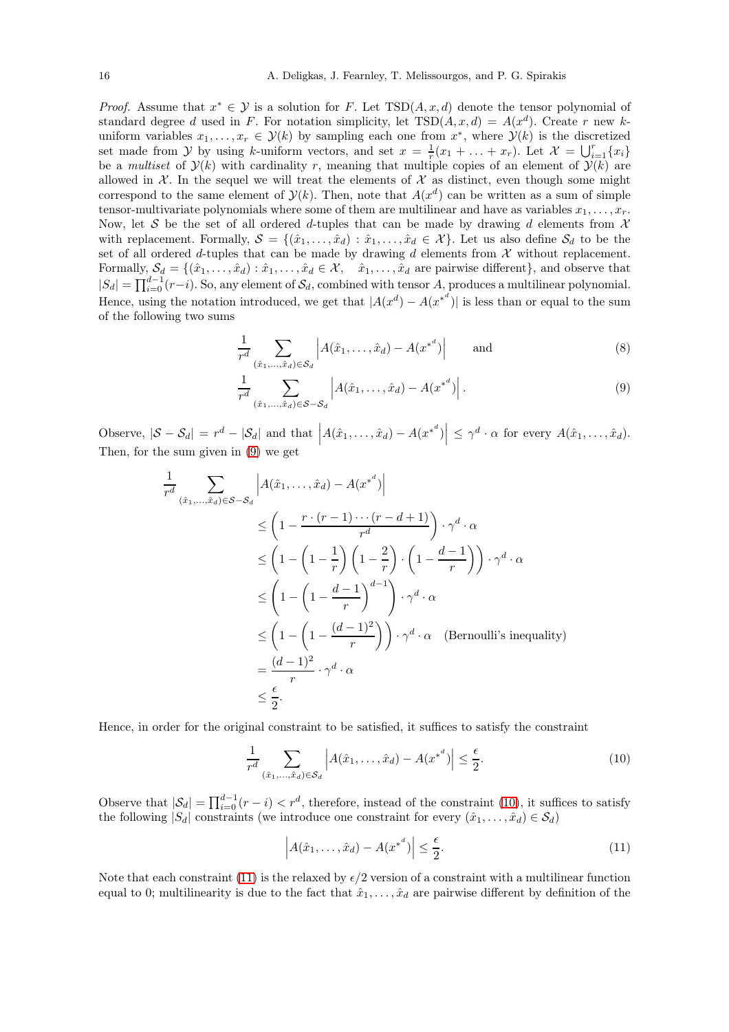*Proof.* Assume that  $x^* \in \mathcal{Y}$  is a solution for F. Let  $TSD(A, x, d)$  denote the tensor polynomial of standard degree d used in F. For notation simplicity, let  $TSD(A, x, d) = A(x^d)$ . Create r new kuniform variables  $x_1, \ldots, x_r \in \mathcal{Y}(k)$  by sampling each one from  $x^*$ , where  $\mathcal{Y}(k)$  is the discretized set made from y by using k-uniform vectors, and set  $x = \frac{1}{r}(x_1 + \ldots + x_r)$ . Let  $\mathcal{X} = \bigcup_{i=1}^r \{x_i\}$ be a multiset of  $\mathcal{Y}(k)$  with cardinality r, meaning that multiple copies of an element of  $\mathcal{Y}(k)$  are allowed in  $X$ . In the sequel we will treat the elements of  $X$  as distinct, even though some might correspond to the same element of  $\mathcal{Y}(k)$ . Then, note that  $A(x^d)$  can be written as a sum of simple tensor-multivariate polynomials where some of them are multilinear and have as variables  $x_1, \ldots, x_r$ . Now, let S be the set of all ordered d-tuples that can be made by drawing d elements from  $\mathcal X$ with replacement. Formally,  $S = \{(\hat{x}_1, \ldots, \hat{x}_d) : \hat{x}_1, \ldots, \hat{x}_d \in \mathcal{X}\}\)$ . Let us also define  $\mathcal{S}_d$  to be the set of all ordered d-tuples that can be made by drawing d elements from  $\mathcal X$  without replacement. Formally,  $S_d = \{(\hat{x}_1, \ldots, \hat{x}_d) : \hat{x}_1, \ldots, \hat{x}_d \in \mathcal{X}, \quad \hat{x}_1, \ldots, \hat{x}_d \text{ are pairwise different}\},\$ and observe that  $|S_d| = \prod_{i=0}^{d-1} (r-i)$ . So, any element of  $S_d$ , combined with tensor A, produces a multilinear polynomial. Hence, using the notation introduced, we get that  $|A(x^d) - A(x^{*^d})|$  is less than or equal to the sum of the following two sums

<span id="page-15-0"></span>
$$
\frac{1}{r^d} \sum_{(\hat{x}_1,\ldots,\hat{x}_d)\in \mathcal{S}_d} \left| A(\hat{x}_1,\ldots,\hat{x}_d) - A(x^{*^d}) \right| \qquad \text{and} \tag{8}
$$

$$
\frac{1}{r^d} \sum_{(\hat{x}_1, ..., \hat{x}_d) \in \mathcal{S} - \mathcal{S}_d} \left| A(\hat{x}_1, ..., \hat{x}_d) - A(x^{*^d}) \right|.
$$
 (9)

Observe,  $|\mathcal{S} - \mathcal{S}_d| = r^d - |\mathcal{S}_d|$  and that  $\left| A(\hat{x}_1, \dots, \hat{x}_d) - A({x^*}^d) \right| \leq \gamma^d \cdot \alpha$  for every  $A(\hat{x}_1, \dots, \hat{x}_d)$ . Then, for the sum given in [\(9\)](#page-15-0) we get

$$
\frac{1}{r^d} \sum_{(\hat{x}_1, \dots, \hat{x}_d) \in S - S_d} \left| A(\hat{x}_1, \dots, \hat{x}_d) - A(x^{*^d}) \right|
$$
\n
$$
\leq \left( 1 - \frac{r \cdot (r-1) \cdots (r-d+1)}{r^d} \right) \cdot \gamma^d \cdot \alpha
$$
\n
$$
\leq \left( 1 - \left( 1 - \frac{1}{r} \right) \left( 1 - \frac{2}{r} \right) \cdot \left( 1 - \frac{d-1}{r} \right) \right) \cdot \gamma^d \cdot \alpha
$$
\n
$$
\leq \left( 1 - \left( 1 - \frac{d-1}{r} \right)^{d-1} \right) \cdot \gamma^d \cdot \alpha
$$
\n
$$
\leq \left( 1 - \left( 1 - \frac{(d-1)^2}{r} \right) \right) \cdot \gamma^d \cdot \alpha \quad \text{(Bernoulli's inequality)}
$$
\n
$$
= \frac{(d-1)^2}{r} \cdot \gamma^d \cdot \alpha
$$
\n
$$
\leq \frac{\epsilon}{2}.
$$

Hence, in order for the original constraint to be satisfied, it suffices to satisfy the constraint

$$
\frac{1}{r^d} \sum_{(\hat{x}_1,\dots,\hat{x}_d)\in \mathcal{S}_d} \left| A(\hat{x}_1,\dots,\hat{x}_d) - A(x^{*^d}) \right| \le \frac{\epsilon}{2}.\tag{10}
$$

Observe that  $|\mathcal{S}_d| = \prod_{i=0}^{d-1}(r-i) < r^d$ , therefore, instead of the constraint [\(10\)](#page-15-1), it suffices to satisfy the following  $|S_d|$  constraints (we introduce one constraint for every  $(\hat{x}_1, \ldots, \hat{x}_d) \in S_d$ )

<span id="page-15-2"></span><span id="page-15-1"></span>
$$
\left| A(\hat{x}_1, \dots, \hat{x}_d) - A(x^{*^d}) \right| \le \frac{\epsilon}{2}.
$$
\n(11)

Note that each constraint [\(11\)](#page-15-2) is the relaxed by  $\epsilon/2$  version of a constraint with a multilinear function equal to 0; multilinearity is due to the fact that  $\hat{x}_1, \ldots, \hat{x}_d$  are pairwise different by definition of the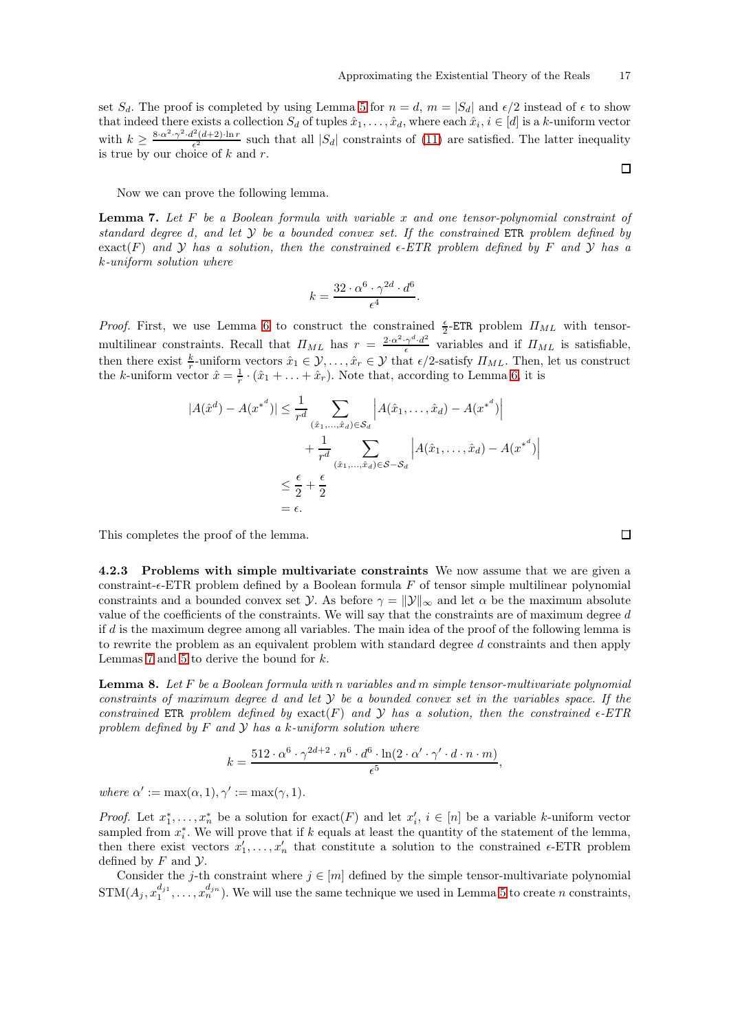set  $S_d$ . The proof is completed by using Lemma [5](#page-13-2) for  $n = d$ ,  $m = |S_d|$  and  $\epsilon/2$  instead of  $\epsilon$  to show that indeed there exists a collection  $S_d$  of tuples  $\hat{x}_1, \ldots, \hat{x}_d$ , where each  $\hat{x}_i, i \in [d]$  is a k-uniform vector with  $k \geq \frac{8 \cdot \alpha^2 \cdot \gamma^2 \cdot d^2(d+2) \cdot \ln r}{\epsilon^2}$  $\frac{(d+2)\cdot \ln r}{\epsilon^2}$  such that all  $|S_d|$  constraints of [\(11\)](#page-15-2) are satisfied. The latter inequality is true by our choice of  $k$  and  $r$ .

<span id="page-16-1"></span>Now we can prove the following lemma.

**Lemma 7.** Let F be a Boolean formula with variable x and one tensor-polynomial constraint of standard degree d, and let  $Y$  be a bounded convex set. If the constrained ETR problem defined by  $\text{exact}(F)$  and Y has a solution, then the constrained  $\epsilon$ -ETR problem defined by F and Y has a k-uniform solution where

$$
k = \frac{32 \cdot \alpha^6 \cdot \gamma^{2d} \cdot d^6}{\epsilon^4}.
$$

*Proof.* First, we use Lemma [6](#page-14-3) to construct the constrained  $\frac{\epsilon}{2}$ -ETR problem  $\Pi_{ML}$  with tensormultilinear constraints. Recall that  $\Pi_{ML}$  has  $r = \frac{2 \alpha^2 \gamma^d \cdot d^2}{\epsilon}$  $\frac{\gamma^{-1}d^{-1}}{\epsilon}$  variables and if  $\Pi_{ML}$  is satisfiable, then there exist  $\frac{k}{r}$ -uniform vectors  $\hat{x}_1 \in \mathcal{Y}, \ldots, \hat{x}_r \in \mathcal{Y}$  that  $\epsilon/2$ -satisfy  $\Pi_{ML}$ . Then, let us construct the k-uniform vector  $\hat{x} = \frac{1}{r} \cdot (\hat{x}_1 + \ldots + \hat{x}_r)$ . Note that, according to Lemma [6,](#page-14-3) it is

$$
|A(\hat{x}^d) - A(x^{*^d})| \le \frac{1}{r^d} \sum_{(\hat{x}_1, \dots, \hat{x}_d) \in \mathcal{S}_d} \left| A(\hat{x}_1, \dots, \hat{x}_d) - A(x^{*^d}) \right|
$$
  
+ 
$$
\frac{1}{r^d} \sum_{(\hat{x}_1, \dots, \hat{x}_d) \in \mathcal{S} - \mathcal{S}_d} \left| A(\hat{x}_1, \dots, \hat{x}_d) - A(x^{*^d}) \right|
$$
  

$$
\le \frac{\epsilon}{2} + \frac{\epsilon}{2}
$$
  
=  $\epsilon$ .

This completes the proof of the lemma.

<span id="page-16-0"></span>4.2.3 Problems with simple multivariate constraints We now assume that we are given a constraint- $\epsilon$ -ETR problem defined by a Boolean formula F of tensor simple multilinear polynomial constraints and a bounded convex set *y*. As before  $\gamma = ||y||_{\infty}$  and let  $\alpha$  be the maximum absolute value of the coefficients of the constraints. We will say that the constraints are of maximum degree  $d$ if d is the maximum degree among all variables. The main idea of the proof of the following lemma is to rewrite the problem as an equivalent problem with standard degree d constraints and then apply Lemmas [7](#page-16-1) and [5](#page-13-2) to derive the bound for  $k$ .

<span id="page-16-2"></span>**Lemma 8.** Let F be a Boolean formula with n variables and m simple tensor-multivariate polynomial constraints of maximum degree d and let  $Y$  be a bounded convex set in the variables space. If the constrained ETR problem defined by exact(F) and Y has a solution, then the constrained  $\epsilon$ -ETR problem defined by  $F$  and  $Y$  has a k-uniform solution where

$$
k = \frac{512 \cdot \alpha^6 \cdot \gamma^{2d+2} \cdot n^6 \cdot d^6 \cdot \ln(2 \cdot \alpha' \cdot \gamma' \cdot d \cdot n \cdot m)}{\epsilon^5},
$$

where  $\alpha' := \max(\alpha, 1), \gamma' := \max(\gamma, 1).$ 

*Proof.* Let  $x_1^*, \ldots, x_n^*$  be a solution for  $\text{exact}(F)$  and let  $x_i', i \in [n]$  be a variable k-uniform vector sampled from  $x_i^*$ . We will prove that if k equals at least the quantity of the statement of the lemma, then there exist vectors  $x'_1, \ldots, x'_n$  that constitute a solution to the constrained  $\epsilon$ -ETR problem defined by  $F$  and  $\mathcal{Y}$ .

Consider the j-th constraint where  $j \in [m]$  defined by the simple tensor-multivariate polynomial  $STM(A_j, x_1^{d_{j1}}, \ldots, x_n^{d_{jn}})$ . We will use the same technique we used in Lemma [5](#page-13-2) to create n constraints,

 $\Box$ 

 $\Box$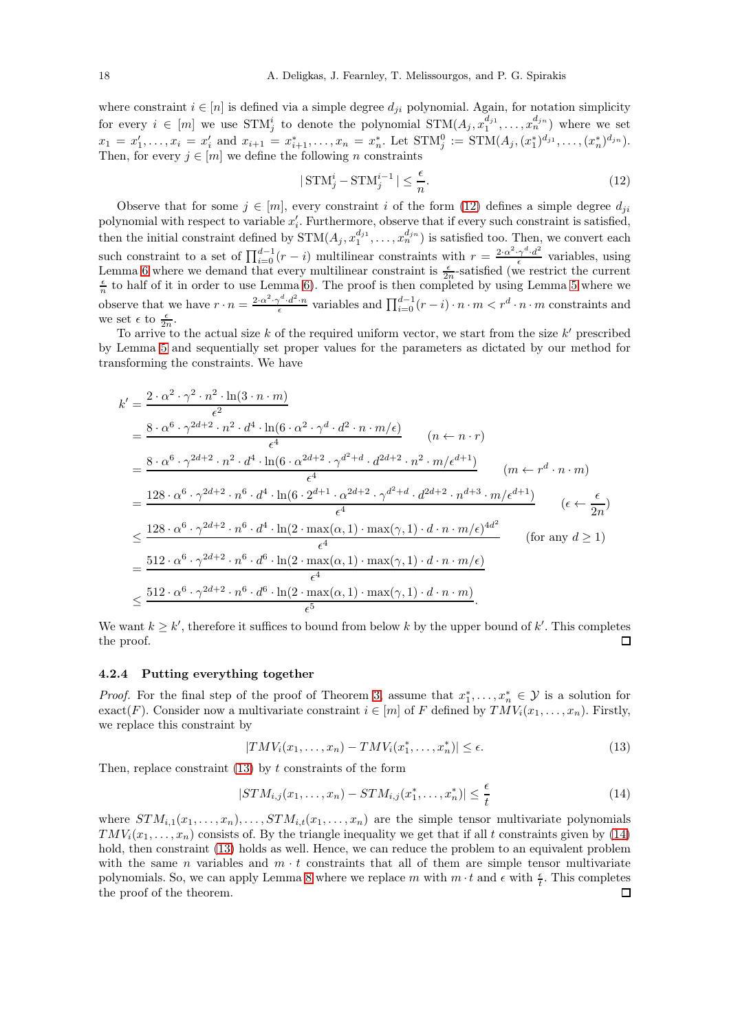where constraint  $i \in [n]$  is defined via a simple degree  $d_{ji}$  polynomial. Again, for notation simplicity for every  $i \in [m]$  we use  $STM_j^i$  to denote the polynomial  $STM(A_j, x_1^{d_{j1}}, \ldots, x_n^{d_{jn}})$  where we set  $x_1 = x'_1, \ldots, x_i = x'_i$  and  $x_{i+1} = x^*_{i+1}, \ldots, x_n = x^*_n$ . Let  $\text{STM}_j^0 := \text{STM}(A_j, (x^*_1)^{d_{j1}}, \ldots, (x^*_n)^{d_{jn}})$ . Then, for every  $j \in [m]$  we define the following n constraints

<span id="page-17-1"></span>
$$
|\operatorname{STM}_{j}^{i} - \operatorname{STM}_{j}^{i-1}| \le \frac{\epsilon}{n}.\tag{12}
$$

Observe that for some  $j \in [m]$ , every constraint i of the form [\(12\)](#page-17-1) defines a simple degree  $d_{ji}$ polynomial with respect to variable  $x_i'$ . Furthermore, observe that if every such constraint is satisfied, i then the initial constraint defined by  $STM(A_j, x_1^{d_{j1}}, \ldots, x_n^{d_{jn}})$  is satisfied too. Then, we convert each such constraint to a set of  $\prod_{i=0}^{d-1}(r-i)$  multilinear constraints with  $r = \frac{2 \cdot \alpha^2 \cdot \gamma^d \cdot d^2}{\epsilon}$  $\frac{\gamma \cdot a}{\epsilon}$  variables, using Lemma [6](#page-14-3) where we demand that every multilinear constraint is  $\frac{\epsilon}{2n}$ -satisfied (we restrict the current  $\frac{\epsilon}{n}$  to half of it in order to use Lemma [6\)](#page-14-3). The proof is then completed by using Lemma [5](#page-13-2) where we observe that we have  $r \cdot n = \frac{2 \cdot \alpha^2 \cdot \gamma^d \cdot d^2 \cdot n}{\epsilon}$  variables and  $\prod_{i=0}^{d-1} (r-i) \cdot n \cdot m < r^d \cdot n \cdot m$  constraints and we set  $\epsilon$  to  $\frac{\epsilon}{2n}$ .

To arrive to the actual size  $k$  of the required uniform vector, we start from the size  $k'$  prescribed by Lemma [5](#page-13-2) and sequentially set proper values for the parameters as dictated by our method for transforming the constraints. We have

$$
k' = \frac{2 \cdot \alpha^2 \cdot \gamma^2 \cdot n^2 \cdot \ln(3 \cdot n \cdot m)}{\epsilon^2}
$$
  
\n
$$
= \frac{8 \cdot \alpha^6 \cdot \gamma^{2d+2} \cdot n^2 \cdot d^4 \cdot \ln(6 \cdot \alpha^2 \cdot \gamma^d \cdot d^2 \cdot n \cdot m/\epsilon)}{\epsilon^4} \qquad (n \leftarrow n \cdot r)
$$
  
\n
$$
= \frac{8 \cdot \alpha^6 \cdot \gamma^{2d+2} \cdot n^2 \cdot d^4 \cdot \ln(6 \cdot \alpha^{2d+2} \cdot \gamma^{d^2+d} \cdot d^{2d+2} \cdot n^2 \cdot m/\epsilon^{d+1})}{\epsilon^4} \qquad (m \leftarrow r^d \cdot n \cdot m)
$$
  
\n
$$
= \frac{128 \cdot \alpha^6 \cdot \gamma^{2d+2} \cdot n^6 \cdot d^4 \cdot \ln(6 \cdot 2^{d+1} \cdot \alpha^{2d+2} \cdot \gamma^{d^2+d} \cdot d^{2d+2} \cdot n^{d+3} \cdot m/\epsilon^{d+1})}{\epsilon^4} \qquad (\epsilon \leftarrow \frac{\epsilon}{2n})
$$
  
\n
$$
\leq \frac{128 \cdot \alpha^6 \cdot \gamma^{2d+2} \cdot n^6 \cdot d^4 \cdot \ln(2 \cdot \max(\alpha, 1) \cdot \max(\gamma, 1) \cdot d \cdot n \cdot m/\epsilon)^{4d^2}}{\epsilon^4} \qquad \text{(for any } d \geq 1)
$$
  
\n
$$
= \frac{512 \cdot \alpha^6 \cdot \gamma^{2d+2} \cdot n^6 \cdot d^6 \cdot \ln(2 \cdot \max(\alpha, 1) \cdot \max(\gamma, 1) \cdot d \cdot n \cdot m/\epsilon)}{\epsilon^4}
$$
  
\n
$$
\leq \frac{512 \cdot \alpha^6 \cdot \gamma^{2d+2} \cdot n^6 \cdot d^6 \cdot \ln(2 \cdot \max(\alpha, 1) \cdot \max(\gamma, 1) \cdot d \cdot n \cdot m)}{\epsilon^5}.
$$

We want  $k \geq k'$ , therefore it suffices to bound from below k by the upper bound of k'. This completes the proof. П

#### <span id="page-17-0"></span>4.2.4 Putting everything together

*Proof.* For the final step of the proof of Theorem [3,](#page-6-2) assume that  $x_1^*, \ldots, x_n^* \in \mathcal{Y}$  is a solution for exact(F). Consider now a multivariate constraint  $i \in [m]$  of F defined by  $TMV_i(x_1, \ldots, x_n)$ . Firstly, we replace this constraint by

<span id="page-17-3"></span><span id="page-17-2"></span>
$$
|TMV_i(x_1,\ldots,x_n)-TMV_i(x_1^*,\ldots,x_n^*)|\leq \epsilon.
$$
\n(13)

Then, replace constraint  $(13)$  by t constraints of the form

$$
|STM_{i,j}(x_1,\ldots,x_n) -STM_{i,j}(x_1^*,\ldots,x_n^*)| \leq \frac{\epsilon}{t}
$$
\n(14)

where  $STM_{i,1}(x_1, \ldots, x_n), \ldots, STM_{i,t}(x_1, \ldots, x_n)$  are the simple tensor multivariate polynomials  $TMV_i(x_1,\ldots,x_n)$  consists of. By the triangle inequality we get that if all t constraints given by [\(14\)](#page-17-3) hold, then constraint [\(13\)](#page-17-2) holds as well. Hence, we can reduce the problem to an equivalent problem with the same n variables and  $m \cdot t$  constraints that all of them are simple tensor multivariate polynomials. So, we can apply Lemma [8](#page-16-2) where we replace m with  $m \cdot t$  and  $\epsilon$  with  $\frac{\epsilon}{t}$ . This completes the proof of the theorem.□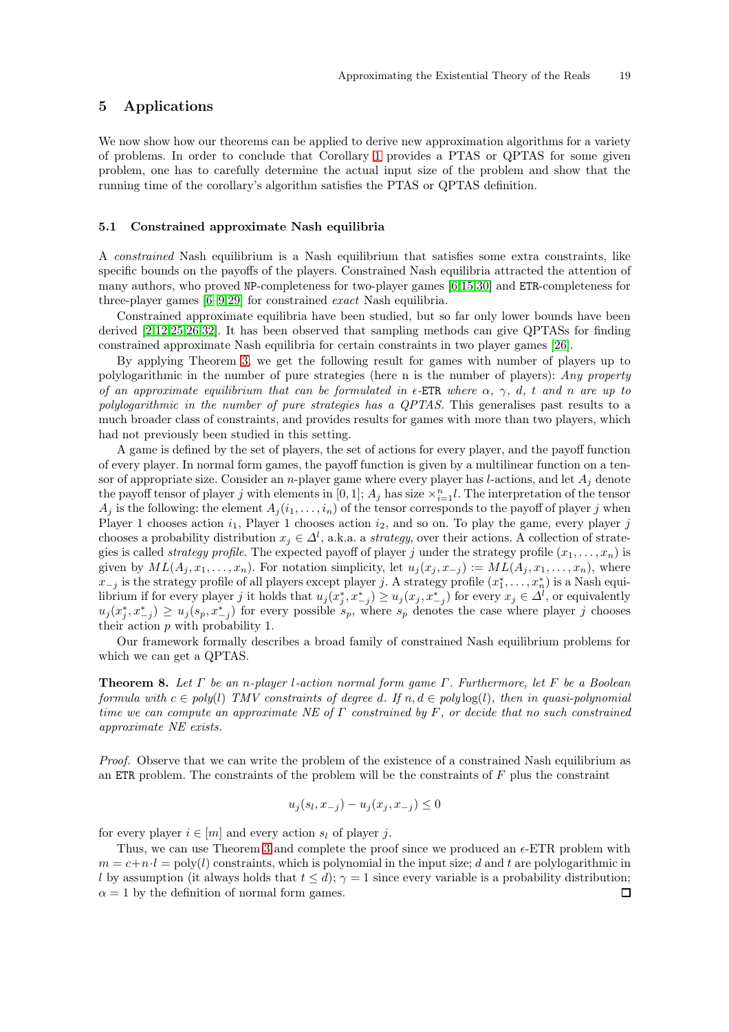# <span id="page-18-0"></span>5 Applications

We now show how our theorems can be applied to derive new approximation algorithms for a variety of problems. In order to conclude that Corollary [1](#page-7-2) provides a PTAS or QPTAS for some given problem, one has to carefully determine the actual input size of the problem and show that the running time of the corollary's algorithm satisfies the PTAS or QPTAS definition.

### <span id="page-18-1"></span>5.1 Constrained approximate Nash equilibria

A constrained Nash equilibrium is a Nash equilibrium that satisfies some extra constraints, like specific bounds on the payoffs of the players. Constrained Nash equilibria attracted the attention of many authors, who proved NP-completeness for two-player games [\[6,](#page-26-4)[15](#page-27-13)[,30\]](#page-27-14) and ETR-completeness for three-player games [\[6](#page-26-4)[–9](#page-26-5)[,29\]](#page-27-4) for constrained exact Nash equilibria.

Constrained approximate equilibria have been studied, but so far only lower bounds have been derived [\[2,](#page-26-6)[12](#page-27-5)[,25](#page-27-2)[,26](#page-27-6)[,32\]](#page-27-15). It has been observed that sampling methods can give QPTASs for finding constrained approximate Nash equilibria for certain constraints in two player games [\[26\]](#page-27-6).

By applying Theorem [3,](#page-6-2) we get the following result for games with number of players up to polylogarithmic in the number of pure strategies (here n is the number of players): Any property of an approximate equilibrium that can be formulated in  $\epsilon$ -ETR where  $\alpha$ ,  $\gamma$ , d, t and n are up to polylogarithmic in the number of pure strategies has a QPTAS. This generalises past results to a much broader class of constraints, and provides results for games with more than two players, which had not previously been studied in this setting.

A game is defined by the set of players, the set of actions for every player, and the payoff function of every player. In normal form games, the payoff function is given by a multilinear function on a tensor of appropriate size. Consider an n-player game where every player has l-actions, and let  $A_i$  denote the payoff tensor of player j with elements in  $[0, 1]$ ;  $A_j$  has size  $\times_{i=1}^n l$ . The interpretation of the tensor  $A_j$  is the following: the element  $A_j(i_1,\ldots,i_n)$  of the tensor corresponds to the payoff of player j when Player 1 chooses action  $i_1$ , Player 1 chooses action  $i_2$ , and so on. To play the game, every player j chooses a probability distribution  $x_j \in \Delta^l$ , a.k.a. a *strategy*, over their actions. A collection of strategies is called *strategy profile*. The expected payoff of player j under the strategy profile  $(x_1, \ldots, x_n)$  is given by  $ML(A_j, x_1, \ldots, x_n)$ . For notation simplicity, let  $u_j(x_j, x_{-j}) := ML(A_j, x_1, \ldots, x_n)$ , where  $x_{-j}$  is the strategy profile of all players except player j. A strategy profile  $(x_1^*, \ldots, x_n^*)$  is a Nash equilibrium if for every player j it holds that  $u_j(x_j^*, x_{-j}^*) \ge u_j(x_j, x_{-j}^*)$  for every  $x_j \in \Delta^l$ , or equivalently  $u_j(x_j^*, x_{-j}^*) \geq u_j(s_p, x_{-j}^*)$  for every possible  $s_p$ , where  $s_p$  denotes the case where player j chooses their action p with probability 1.

Our framework formally describes a broad family of constrained Nash equilibrium problems for which we can get a QPTAS.

**Theorem 8.** Let  $\Gamma$  be an n-player l-action normal form game  $\Gamma$ . Furthermore, let  $\Gamma$  be a Boolean formula with  $c \in poly(l)$  TMV constraints of degree d. If  $n, d \in polylog(l)$ , then in quasi-polynomial time we can compute an approximate NE of  $\Gamma$  constrained by F, or decide that no such constrained approximate NE exists.

Proof. Observe that we can write the problem of the existence of a constrained Nash equilibrium as an ETR problem. The constraints of the problem will be the constraints of  $F$  plus the constraint

$$
u_j(s_l, x_{-j}) - u_j(x_j, x_{-j}) \le 0
$$

for every player  $i \in [m]$  and every action  $s_i$  of player j.

Thus, we can use Theorem [3](#page-6-2) and complete the proof since we produced an  $\epsilon$ -ETR problem with  $m = c+n \cdot l = \text{poly}(l)$  constraints, which is polynomial in the input size; d and t are polylogarithmic in l by assumption (it always holds that  $t \le d$ );  $\gamma = 1$  since every variable is a probability distribution;<br> $\alpha = 1$  by the definition of normal form games.  $\alpha = 1$  by the definition of normal form games.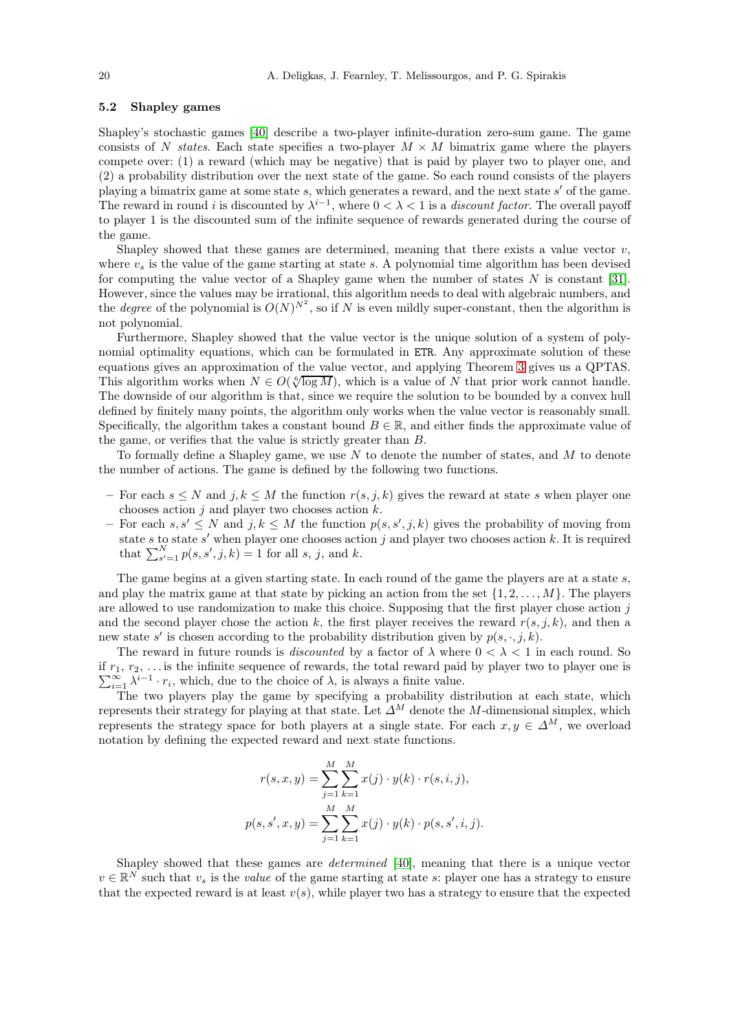## <span id="page-19-0"></span>5.2 Shapley games

Shapley's stochastic games [\[40\]](#page-28-2) describe a two-player infinite-duration zero-sum game. The game consists of N states. Each state specifies a two-player  $M \times M$  bimatrix game where the players compete over: (1) a reward (which may be negative) that is paid by player two to player one, and (2) a probability distribution over the next state of the game. So each round consists of the players playing a bimatrix game at some state s, which generates a reward, and the next state s' of the game. The reward in round i is discounted by  $\lambda^{i-1}$ , where  $0 < \lambda < 1$  is a *discount factor*. The overall payoff to player 1 is the discounted sum of the infinite sequence of rewards generated during the course of the game.

Shapley showed that these games are determined, meaning that there exists a value vector  $v$ , where  $v<sub>s</sub>$  is the value of the game starting at state s. A polynomial time algorithm has been devised for computing the value vector of a Shapley game when the number of states  $N$  is constant [\[31\]](#page-27-16). However, since the values may be irrational, this algorithm needs to deal with algebraic numbers, and the *degree* of the polynomial is  $O(N)^{N^2}$ , so if N is even mildly super-constant, then the algorithm is not polynomial.

Furthermore, Shapley showed that the value vector is the unique solution of a system of polynomial optimality equations, which can be formulated in ETR. Any approximate solution of these equations gives an approximation of the value vector, and applying Theorem [3](#page-6-2) gives us a QPTAS. This algorithm works when  $N \in O(\sqrt[6]{\log M})$ , which is a value of N that prior work cannot handle. The downside of our algorithm is that, since we require the solution to be bounded by a convex hull defined by finitely many points, the algorithm only works when the value vector is reasonably small. Specifically, the algorithm takes a constant bound  $B \in \mathbb{R}$ , and either finds the approximate value of the game, or verifies that the value is strictly greater than B.

To formally define a Shapley game, we use  $N$  to denote the number of states, and  $M$  to denote the number of actions. The game is defined by the following two functions.

- For each  $s \leq N$  and  $j, k \leq M$  the function  $r(s, j, k)$  gives the reward at state s when player one chooses action  $j$  and player two chooses action  $k$ .
- $-$  For each  $s, s' \leq N$  and  $j, k \leq M$  the function  $p(s, s', j, k)$  gives the probability of moving from state s to state s' when player one chooses action j and player two chooses action  $k$ . It is required that  $\sum_{s'=1}^{N} p(s, s', j, k) = 1$  for all s, j, and k.

The game begins at a given starting state. In each round of the game the players are at a state s, and play the matrix game at that state by picking an action from the set  $\{1, 2, \ldots, M\}$ . The players are allowed to use randomization to make this choice. Supposing that the first player chose action  $j$ and the second player chose the action k, the first player receives the reward  $r(s, j, k)$ , and then a new state  $s'$  is chosen according to the probability distribution given by  $p(s, \cdot, j, k)$ .

The reward in future rounds is *discounted* by a factor of  $\lambda$  where  $0 < \lambda < 1$  in each round. So if  $r_1, r_2, \ldots$  is the infinite sequence of rewards, the total reward paid by player two to player one is  $\sum_{i=1}^{\infty} \lambda^{i-1} \cdot r_i$ , which, due to the choice of  $\lambda$ , is always a finite value.

The two players play the game by specifying a probability distribution at each state, which represents their strategy for playing at that state. Let  $\Delta^M$  denote the M-dimensional simplex, which represents the strategy space for both players at a single state. For each  $x, y \in \Delta^M$ , we overload notation by defining the expected reward and next state functions.

$$
r(s, x, y) = \sum_{j=1}^{M} \sum_{k=1}^{M} x(j) \cdot y(k) \cdot r(s, i, j),
$$
  

$$
p(s, s', x, y) = \sum_{j=1}^{M} \sum_{k=1}^{M} x(j) \cdot y(k) \cdot p(s, s', i, j).
$$

Shapley showed that these games are determined [\[40\]](#page-28-2), meaning that there is a unique vector  $v \in \mathbb{R}^N$  such that  $v_s$  is the *value* of the game starting at state s: player one has a strategy to ensure that the expected reward is at least  $v(s)$ , while player two has a strategy to ensure that the expected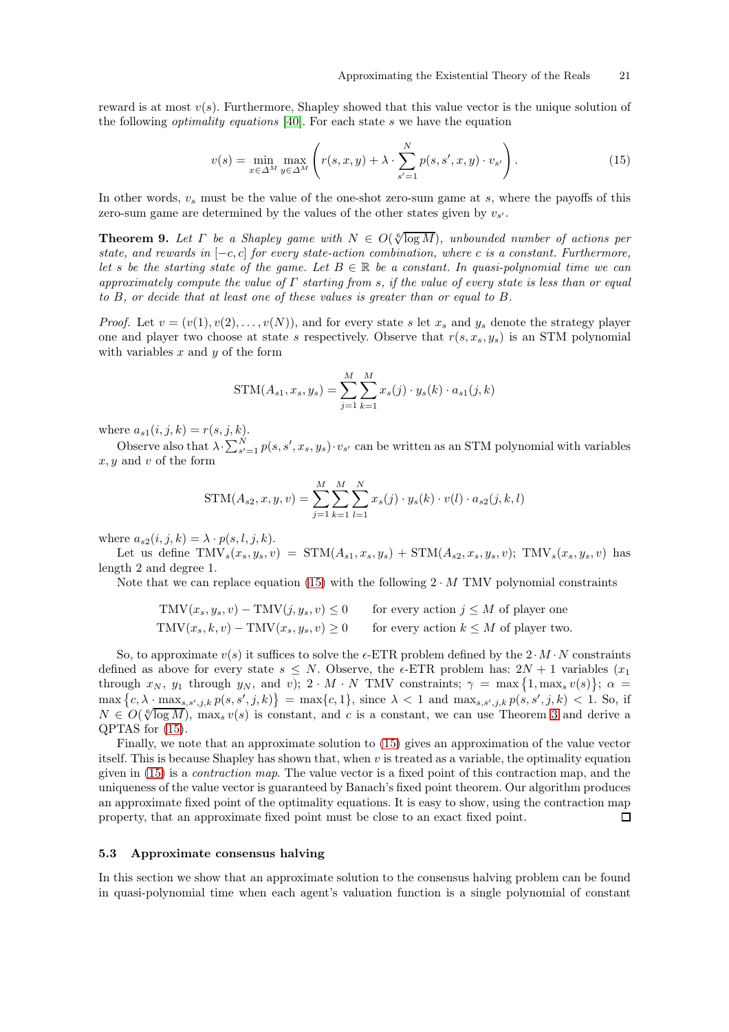reward is at most  $v(s)$ . Furthermore, Shapley showed that this value vector is the unique solution of the following optimality equations [\[40\]](#page-28-2). For each state s we have the equation

<span id="page-20-1"></span>
$$
v(s) = \min_{x \in \Delta^M} \max_{y \in \Delta^M} \left( r(s, x, y) + \lambda \cdot \sum_{s'=1}^N p(s, s', x, y) \cdot v_{s'} \right). \tag{15}
$$

In other words,  $v_s$  must be the value of the one-shot zero-sum game at s, where the payoffs of this zero-sum game are determined by the values of the other states given by  $v_{s'}$ .

**Theorem 9.** Let  $\Gamma$  be a Shapley game with  $N \in O(\sqrt[6]{\log M})$ , unbounded number of actions per state, and rewards in  $[-c, c]$  for every state-action combination, where c is a constant. Furthermore, let s be the starting state of the game. Let  $B \in \mathbb{R}$  be a constant. In quasi-polynomial time we can approximately compute the value of  $\Gamma$  starting from s, if the value of every state is less than or equal to B, or decide that at least one of these values is greater than or equal to B.

*Proof.* Let  $v = (v(1), v(2), \ldots, v(N))$ , and for every state s let  $x_s$  and  $y_s$  denote the strategy player one and player two choose at state s respectively. Observe that  $r(s, x_s, y_s)$  is an STM polynomial with variables  $x$  and  $y$  of the form

STM
$$
(A_{s1}, x_s, y_s)
$$
 = 
$$
\sum_{j=1}^{M} \sum_{k=1}^{M} x_s(j) \cdot y_s(k) \cdot a_{s1}(j, k)
$$

where  $a_{s1}(i, j, k) = r(s, j, k)$ .

Observe also that  $\lambda \cdot \sum_{s'=1}^{N} p(s, s', x_s, y_s) \cdot v_{s'}$  can be written as an STM polynomial with variables  $x, y$  and v of the form

$$
STM(A_{s2}, x, y, v) = \sum_{j=1}^{M} \sum_{k=1}^{M} \sum_{l=1}^{N} x_s(j) \cdot y_s(k) \cdot v(l) \cdot a_{s2}(j, k, l)
$$

where  $a_{s2}(i, j, k) = \lambda \cdot p(s, l, j, k)$ .

Let us define  $\text{TMV}_s(x_s, y_s, v) = \text{STM}(A_{s1}, x_s, y_s) + \text{STM}(A_{s2}, x_s, y_s, v); \text{TMV}_s(x_s, y_s, v)$  has length 2 and degree 1.

Note that we can replace equation [\(15\)](#page-20-1) with the following  $2 \cdot M$  TMV polynomial constraints

$$
TMV(xs, ys, v) - TMV(j, ys, v) \le 0 \tfor every action j \le M of player one\nTMV(xs, k, v) - TMV(xs, ys, v) \ge 0 \tfor every action k \le M of player two
$$

So, to approximate  $v(s)$  it suffices to solve the  $\epsilon$ -ETR problem defined by the  $2 \cdot M \cdot N$  constraints defined as above for every state  $s \leq N$ . Observe, the  $\epsilon$ -ETR problem has:  $2N + 1$  variables  $(x_1)$ through  $x_N$ ,  $y_1$  through  $y_N$ , and v);  $2 \cdot M \cdot N$  TMV constraints;  $\gamma = \max\{1, \max_s v(s)\}\; ; \; \alpha =$  $\max\left\{c, \lambda \cdot \max_{s, s', j, k} p(s, s', j, k)\right\} = \max\{c, 1\},\text{ since }\lambda < 1 \text{ and } \max_{s, s', j, k} p(s, s', j, k) < 1.$  So, if  $N \in O(\sqrt[6]{\log M})$ ,  $\max_s v(s)$  is constant, and c is a constant, we can use Theorem [3](#page-6-2) and derive a QPTAS for [\(15\)](#page-20-1).

Finally, we note that an approximate solution to [\(15\)](#page-20-1) gives an approximation of the value vector itself. This is because Shapley has shown that, when  $v$  is treated as a variable, the optimality equation given in [\(15\)](#page-20-1) is a contraction map. The value vector is a fixed point of this contraction map, and the uniqueness of the value vector is guaranteed by Banach's fixed point theorem. Our algorithm produces an approximate fixed point of the optimality equations. It is easy to show, using the contraction map property, that an approximate fixed point must be close to an exact fixed point.  $\Box$ 

#### <span id="page-20-0"></span>5.3 Approximate consensus halving

In this section we show that an approximate solution to the consensus halving problem can be found in quasi-polynomial time when each agent's valuation function is a single polynomial of constant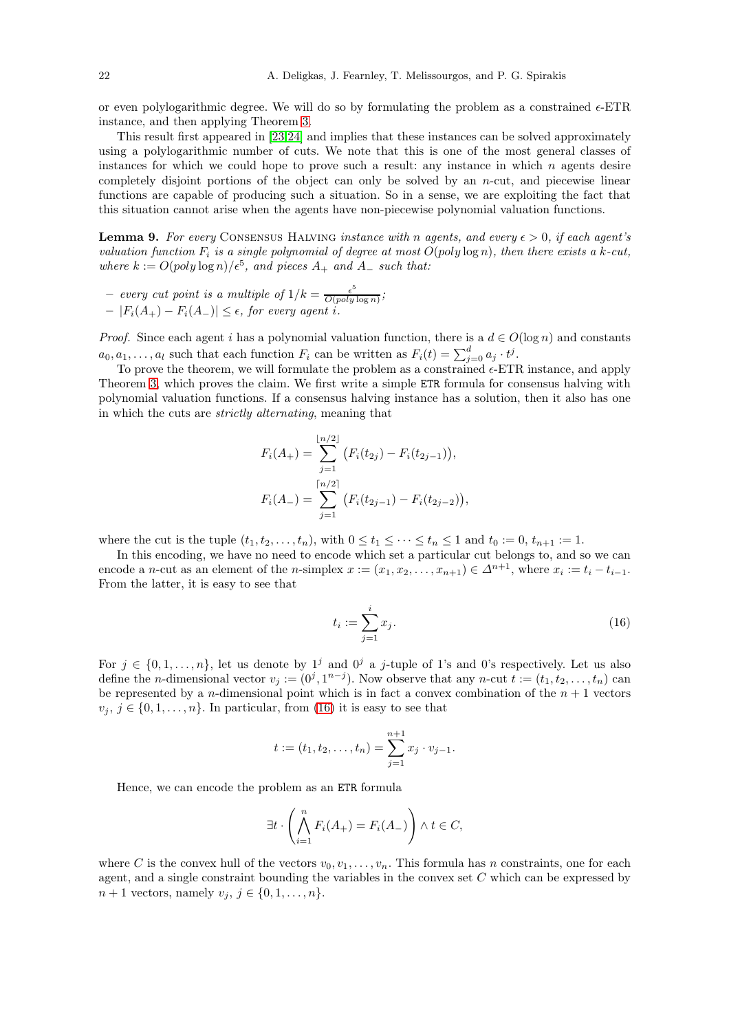or even polylogarithmic degree. We will do so by formulating the problem as a constrained  $\epsilon$ -ETR instance, and then applying Theorem [3.](#page-6-2)

This result first appeared in [\[23,](#page-27-17)[24\]](#page-27-18) and implies that these instances can be solved approximately using a polylogarithmic number of cuts. We note that this is one of the most general classes of instances for which we could hope to prove such a result: any instance in which  $n$  agents desire completely disjoint portions of the object can only be solved by an  $n$ -cut, and piecewise linear functions are capable of producing such a situation. So in a sense, we are exploiting the fact that this situation cannot arise when the agents have non-piecewise polynomial valuation functions.

**Lemma 9.** For every CONSENSUS HALVING instance with n agents, and every  $\epsilon > 0$ , if each agent's valuation function  $F_i$  is a single polynomial of degree at most  $O(poly \log n)$ , then there exists a k-cut, where  $k := O(\text{poly}\log n)/\epsilon^5$ , and pieces  $A_+$  and  $A_-$  such that:

- every cut point is a multiple of 
$$
1/k = \frac{\epsilon^5}{O(\text{poly}\log n)}
$$
;  
-  $|F_i(A_+) - F_i(A_-)| \le \epsilon$ , for every agent *i*.

*Proof.* Since each agent i has a polynomial valuation function, there is a  $d \in O(\log n)$  and constants  $a_0, a_1, \ldots, a_l$  such that each function  $F_i$  can be written as  $F_i(t) = \sum_{j=0}^d a_j \cdot t^j$ .

To prove the theorem, we will formulate the problem as a constrained  $\epsilon$ -ETR instance, and apply Theorem [3,](#page-6-2) which proves the claim. We first write a simple ETR formula for consensus halving with polynomial valuation functions. If a consensus halving instance has a solution, then it also has one in which the cuts are strictly alternating, meaning that

$$
F_i(A_+) = \sum_{j=1}^{\lfloor n/2 \rfloor} \left( F_i(t_{2j}) - F_i(t_{2j-1}) \right),
$$
  

$$
F_i(A_-) = \sum_{j=1}^{\lceil n/2 \rceil} \left( F_i(t_{2j-1}) - F_i(t_{2j-2}) \right),
$$

where the cut is the tuple  $(t_1, t_2, \ldots, t_n)$ , with  $0 \le t_1 \le \cdots \le t_n \le 1$  and  $t_0 := 0$ ,  $t_{n+1} := 1$ .

In this encoding, we have no need to encode which set a particular cut belongs to, and so we can encode a *n*-cut as an element of the *n*-simplex  $x := (x_1, x_2, \ldots, x_{n+1}) \in \Delta^{n+1}$ , where  $x_i := t_i - t_{i-1}$ . From the latter, it is easy to see that

<span id="page-21-0"></span>
$$
t_i := \sum_{j=1}^i x_j.
$$
 (16)

For  $j \in \{0, 1, \ldots, n\}$ , let us denote by  $1^j$  and  $0^j$  a j-tuple of 1's and 0's respectively. Let us also define the *n*-dimensional vector  $v_j := (0^j, 1^{n-j})$ . Now observe that any *n*-cut  $t := (t_1, t_2, \ldots, t_n)$  can be represented by a *n*-dimensional point which is in fact a convex combination of the  $n + 1$  vectors  $v_j, j \in \{0, 1, \ldots, n\}$ . In particular, from [\(16\)](#page-21-0) it is easy to see that

$$
t := (t_1, t_2, \dots, t_n) = \sum_{j=1}^{n+1} x_j \cdot v_{j-1}.
$$

Hence, we can encode the problem as an ETR formula

$$
\exists t \cdot \left( \bigwedge_{i=1}^{n} F_i(A_+) = F_i(A_-) \right) \wedge t \in C,
$$

where C is the convex hull of the vectors  $v_0, v_1, \ldots, v_n$ . This formula has n constraints, one for each agent, and a single constraint bounding the variables in the convex set  $C$  which can be expressed by  $n + 1$  vectors, namely  $v_j, j \in \{0, 1, ..., n\}.$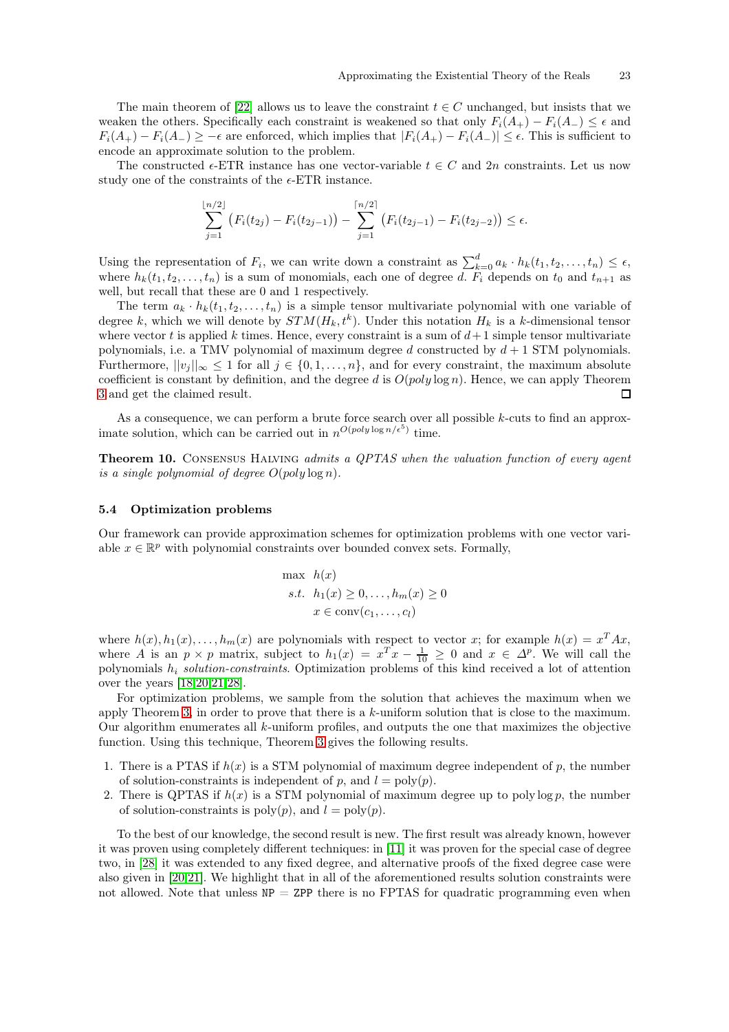The main theorem of [\[22\]](#page-27-19) allows us to leave the constraint  $t \in C$  unchanged, but insists that we weaken the others. Specifically each constraint is weakened so that only  $F_i(A_+) - F_i(A_-) \leq \epsilon$  and  $F_i(A_+) - F_i(A_-) \geq -\epsilon$  are enforced, which implies that  $|F_i(A_+) - F_i(A_-)| \leq \epsilon$ . This is sufficient to encode an approximate solution to the problem.

The constructed  $\epsilon$ -ETR instance has one vector-variable  $t \in C$  and  $2n$  constraints. Let us now study one of the constraints of the  $\epsilon$ -ETR instance.

$$
\sum_{j=1}^{\lfloor n/2 \rfloor} \left( F_i(t_{2j}) - F_i(t_{2j-1}) \right) - \sum_{j=1}^{\lceil n/2 \rceil} \left( F_i(t_{2j-1}) - F_i(t_{2j-2}) \right) \le \epsilon.
$$

Using the representation of  $F_i$ , we can write down a constraint as  $\sum_{k=0}^d a_k \cdot h_k(t_1, t_2, \ldots, t_n) \leq \epsilon$ , where  $h_k(t_1, t_2, \ldots, t_n)$  is a sum of monomials, each one of degree d.  $F_i$  depends on  $t_0$  and  $t_{n+1}$  as well, but recall that these are 0 and 1 respectively.

The term  $a_k \cdot h_k(t_1, t_2, \ldots, t_n)$  is a simple tensor multivariate polynomial with one variable of degree k, which we will denote by  $STM(H_k, t^k)$ . Under this notation  $H_k$  is a k-dimensional tensor where vector  $t$  is applied  $k$  times. Hence, every constraint is a sum of  $d+1$  simple tensor multivariate polynomials, i.e. a TMV polynomial of maximum degree  $d$  constructed by  $d + 1$  STM polynomials. Furthermore,  $||v_j||_{\infty} \leq 1$  for all  $j \in \{0, 1, ..., n\}$ , and for every constraint, the maximum absolute coefficient is constant by definition, and the degree d is  $O(poly \log n)$ . Hence, we can apply Theorem [3](#page-6-2) and get the claimed result.  $\Box$ 

As a consequence, we can perform a brute force search over all possible k-cuts to find an approximate solution, which can be carried out in  $n^{O(poly \log n/\epsilon^5)}$  time.

Theorem 10. CONSENSUS HALVING admits a QPTAS when the valuation function of every agent is a single polynomial of degree  $O(poly \log n)$ .

#### <span id="page-22-0"></span>5.4 Optimization problems

Our framework can provide approximation schemes for optimization problems with one vector variable  $x \in \mathbb{R}^p$  with polynomial constraints over bounded convex sets. Formally,

$$
\max h(x)
$$
  
s.t.  $h_1(x) \ge 0, ..., h_m(x) \ge 0$   
 $x \in \text{conv}(c_1, ..., c_l)$ 

where  $h(x), h_1(x), \ldots, h_m(x)$  are polynomials with respect to vector x; for example  $h(x) = x^T A x$ , where A is an  $p \times p$  matrix, subject to  $h_1(x) = x^T x - \frac{1}{10} \geq 0$  and  $x \in \Delta^p$ . We will call the polynomials  $h_i$  solution-constraints. Optimization problems of this kind received a lot of attention over the years [\[18](#page-27-20)[,20,](#page-27-21)[21,](#page-27-22)[28\]](#page-27-23).

For optimization problems, we sample from the solution that achieves the maximum when we apply Theorem [3,](#page-6-2) in order to prove that there is a k-uniform solution that is close to the maximum. Our algorithm enumerates all k-uniform profiles, and outputs the one that maximizes the objective function. Using this technique, Theorem [3](#page-6-2) gives the following results.

- 1. There is a PTAS if  $h(x)$  is a STM polynomial of maximum degree independent of p, the number of solution-constraints is independent of p, and  $l = \text{poly}(p)$ .
- 2. There is QPTAS if  $h(x)$  is a STM polynomial of maximum degree up to poly log p, the number of solution-constraints is  $\text{poly}(p)$ , and  $l = \text{poly}(p)$ .

To the best of our knowledge, the second result is new. The first result was already known, however it was proven using completely different techniques: in [\[11\]](#page-27-10) it was proven for the special case of degree two, in [\[28\]](#page-27-23) it was extended to any fixed degree, and alternative proofs of the fixed degree case were also given in [\[20](#page-27-21)[,21\]](#page-27-22). We highlight that in all of the aforementioned results solution constraints were not allowed. Note that unless  $NP = ZPP$  there is no FPTAS for quadratic programming even when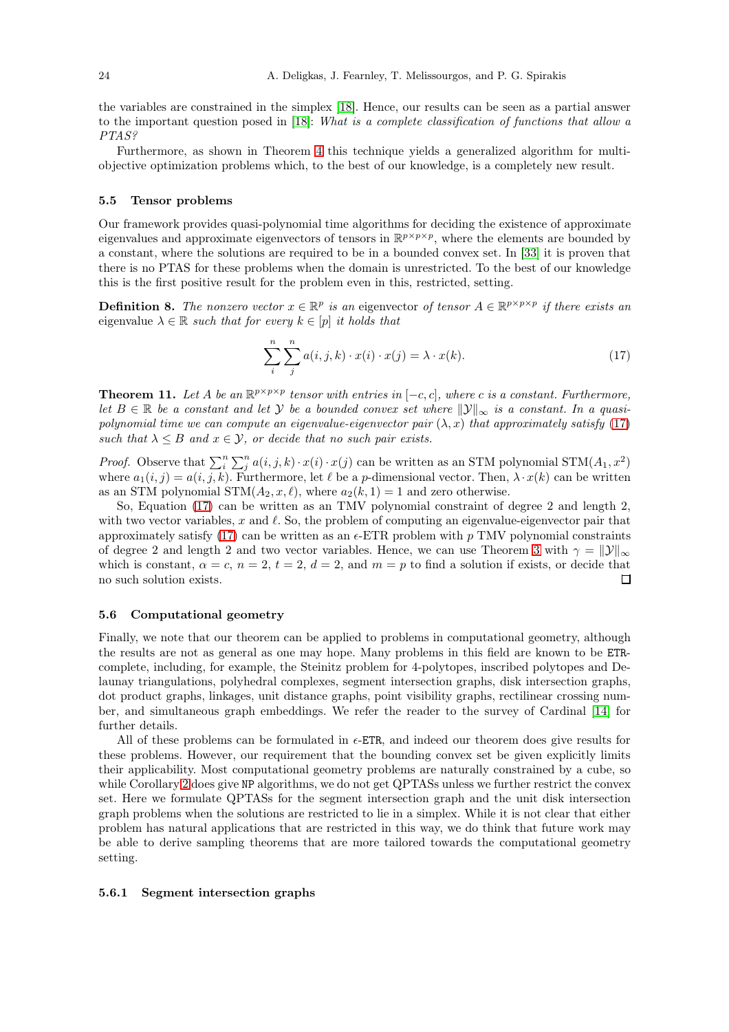the variables are constrained in the simplex [\[18\]](#page-27-20). Hence, our results can be seen as a partial answer to the important question posed in [\[18\]](#page-27-20): What is a complete classification of functions that allow a PTAS?

Furthermore, as shown in Theorem [4](#page-8-2) this technique yields a generalized algorithm for multiobjective optimization problems which, to the best of our knowledge, is a completely new result.

#### <span id="page-23-0"></span>5.5 Tensor problems

Our framework provides quasi-polynomial time algorithms for deciding the existence of approximate eigenvalues and approximate eigenvectors of tensors in  $\mathbb{R}^{p \times p \times p}$ , where the elements are bounded by a constant, where the solutions are required to be in a bounded convex set. In [\[33\]](#page-27-24) it is proven that there is no PTAS for these problems when the domain is unrestricted. To the best of our knowledge this is the first positive result for the problem even in this, restricted, setting.

**Definition 8.** The nonzero vector  $x \in \mathbb{R}^p$  is an eigenvector of tensor  $A \in \mathbb{R}^{p \times p \times p}$  if there exists an eigenvalue  $\lambda \in \mathbb{R}$  such that for every  $k \in [p]$  it holds that

<span id="page-23-3"></span>
$$
\sum_{i}^{n} \sum_{j}^{n} a(i, j, k) \cdot x(i) \cdot x(j) = \lambda \cdot x(k). \tag{17}
$$

**Theorem 11.** Let A be an  $\mathbb{R}^{p \times p \times p}$  tensor with entries in  $[-c, c]$ , where c is a constant. Furthermore, let  $B \in \mathbb{R}$  be a constant and let Y be a bounded convex set where  $\|\mathcal{Y}\|_{\infty}$  is a constant. In a quasipolynomial time we can compute an eigenvalue-eigenvector pair  $(\lambda, x)$  that approximately satisfy [\(17\)](#page-23-3) such that  $\lambda \leq B$  and  $x \in \mathcal{Y}$ , or decide that no such pair exists.

*Proof.* Observe that  $\sum_{i=1}^{n} \sum_{j=1}^{n} a(i, j, k) \cdot x(i) \cdot x(j)$  can be written as an STM polynomial STM $(A_1, x^2)$ where  $a_1(i, j) = a(i, j, k)$ . Furthermore, let  $\ell$  be a p-dimensional vector. Then,  $\lambda \cdot x(k)$  can be written as an STM polynomial  $STM(A_2, x, \ell)$ , where  $a_2(k, 1) = 1$  and zero otherwise.

So, Equation [\(17\)](#page-23-3) can be written as an TMV polynomial constraint of degree 2 and length 2, with two vector variables, x and  $\ell$ . So, the problem of computing an eigenvalue-eigenvector pair that approximately satisfy [\(17\)](#page-23-3) can be written as an  $\epsilon$ -ETR problem with p TMV polynomial constraints of degree 2 and length 2 and two vector variables. Hence, we can use Theorem [3](#page-6-2) with  $\gamma = ||\mathcal{Y}||_{\infty}$ which is constant,  $\alpha = c$ ,  $n = 2$ ,  $t = 2$ ,  $d = 2$ , and  $m = p$  to find a solution if exists, or decide that no such solution exists.  $\Box$ 

#### <span id="page-23-1"></span>5.6 Computational geometry

Finally, we note that our theorem can be applied to problems in computational geometry, although the results are not as general as one may hope. Many problems in this field are known to be ETRcomplete, including, for example, the Steinitz problem for 4-polytopes, inscribed polytopes and Delaunay triangulations, polyhedral complexes, segment intersection graphs, disk intersection graphs, dot product graphs, linkages, unit distance graphs, point visibility graphs, rectilinear crossing number, and simultaneous graph embeddings. We refer the reader to the survey of Cardinal [\[14\]](#page-27-25) for further details.

All of these problems can be formulated in  $\epsilon$ -ETR, and indeed our theorem does give results for these problems. However, our requirement that the bounding convex set be given explicitly limits their applicability. Most computational geometry problems are naturally constrained by a cube, so while Corollary [2](#page-7-3) does give NP algorithms, we do not get QPTASs unless we further restrict the convex set. Here we formulate QPTASs for the segment intersection graph and the unit disk intersection graph problems when the solutions are restricted to lie in a simplex. While it is not clear that either problem has natural applications that are restricted in this way, we do think that future work may be able to derive sampling theorems that are more tailored towards the computational geometry setting.

#### <span id="page-23-2"></span>5.6.1 Segment intersection graphs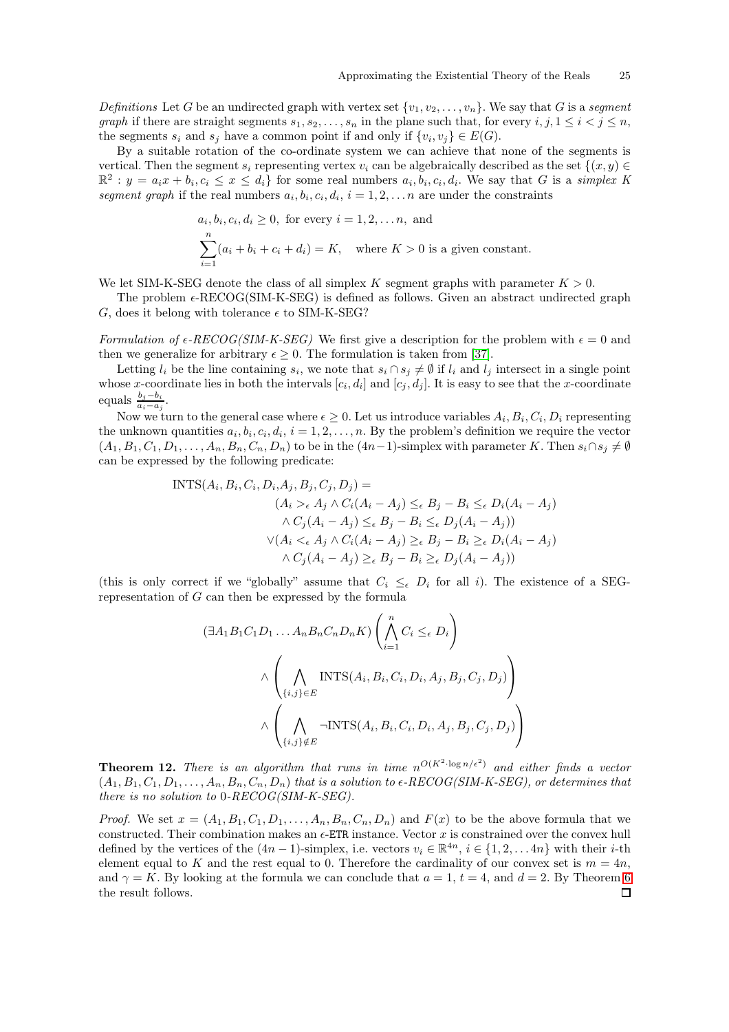Definitions Let G be an undirected graph with vertex set  $\{v_1, v_2, \ldots, v_n\}$ . We say that G is a segment graph if there are straight segments  $s_1, s_2, \ldots, s_n$  in the plane such that, for every  $i, j, 1 \leq i < j \leq n$ , the segments  $s_i$  and  $s_j$  have a common point if and only if  $\{v_i, v_j\} \in E(G)$ .

By a suitable rotation of the co-ordinate system we can achieve that none of the segments is vertical. Then the segment  $s_i$  representing vertex  $v_i$  can be algebraically described as the set  $\{(x, y) \in$  $\mathbb{R}^2$ :  $y = a_i x + b_i, c_i \leq x \leq d_i$  for some real numbers  $a_i, b_i, c_i, d_i$ . We say that G is a simplex K segment graph if the real numbers  $a_i, b_i, c_i, d_i, i = 1, 2, \ldots n$  are under the constraints

$$
a_i, b_i, c_i, d_i \ge 0
$$
, for every  $i = 1, 2, ..., n$ , and  
\n
$$
\sum_{i=1}^{n} (a_i + b_i + c_i + d_i) = K
$$
, where  $K > 0$  is a given constant.

We let SIM-K-SEG denote the class of all simplex K segment graphs with parameter  $K > 0$ .

The problem  $\epsilon$ -RECOG(SIM-K-SEG) is defined as follows. Given an abstract undirected graph G, does it belong with tolerance  $\epsilon$  to SIM-K-SEG?

Formulation of  $\epsilon$ -RECOG(SIM-K-SEG) We first give a description for the problem with  $\epsilon = 0$  and then we generalize for arbitrary  $\epsilon \geq 0$ . The formulation is taken from [\[37\]](#page-28-3).

Letting  $l_i$  be the line containing  $s_i$ , we note that  $s_i \cap s_j \neq \emptyset$  if  $l_i$  and  $l_j$  intersect in a single point whose x-coordinate lies in both the intervals  $[c_i, d_i]$  and  $[c_j, d_j]$ . It is easy to see that the x-coordinate equals  $\frac{b_j-b_i}{a_i-a_j}$ .

Now we turn to the general case where  $\epsilon \geq 0$ . Let us introduce variables  $A_i, B_i, C_i, D_i$  representing the unknown quantities  $a_i, b_i, c_i, d_i, i = 1, 2, ..., n$ . By the problem's definition we require the vector  $(A_1, B_1, C_1, D_1, \ldots, A_n, B_n, C_n, D_n)$  to be in the  $(4n-1)$ -simplex with parameter K. Then  $s_i \cap s_j \neq \emptyset$ can be expressed by the following predicate:

INTS
$$
(A_i, B_i, C_i, D_i, A_j, B_j, C_j, D_j)
$$
 =  
\n $(A_i >_{\epsilon} A_j \wedge C_i (A_i - A_j) \leq_{\epsilon} B_j - B_i \leq_{\epsilon} D_i (A_i - A_j)$   
\n $\wedge C_j (A_i - A_j) \leq_{\epsilon} B_j - B_i \leq_{\epsilon} D_j (A_i - A_j))$   
\n $\vee (A_i <_{\epsilon} A_j \wedge C_i (A_i - A_j) \geq_{\epsilon} B_j - B_i \geq_{\epsilon} D_i (A_i - A_j)$   
\n $\wedge C_j (A_i - A_j) \geq_{\epsilon} B_j - B_i \geq_{\epsilon} D_j (A_i - A_j))$ 

(this is only correct if we "globally" assume that  $C_i \leq_{\epsilon} D_i$  for all i). The existence of a SEGrepresentation of G can then be expressed by the formula

$$
(\exists A_1 B_1 C_1 D_1 \dots A_n B_n C_n D_n K) \left( \bigwedge_{i=1}^n C_i \leq_{\epsilon} D_i \right)
$$
  

$$
\wedge \left( \bigwedge_{\{i,j\} \in E} \text{INTS}(A_i, B_i, C_i, D_i, A_j, B_j, C_j, D_j) \right)
$$
  

$$
\wedge \left( \bigwedge_{\{i,j\} \notin E} \neg \text{INTS}(A_i, B_i, C_i, D_i, A_j, B_j, C_j, D_j) \right)
$$

**Theorem 12.** There is an algorithm that runs in time  $n^{O(K^2 \cdot \log n/\epsilon^2)}$  and either finds a vector  $(A_1, B_1, C_1, D_1, \ldots, A_n, B_n, C_n, D_n)$  that is a solution to  $\epsilon$ -RECOG(SIM-K-SEG), or determines that there is no solution to 0-RECOG(SIM-K-SEG).

*Proof.* We set  $x = (A_1, B_1, C_1, D_1, \ldots, A_n, B_n, C_n, D_n)$  and  $F(x)$  to be the above formula that we constructed. Their combination makes an  $\epsilon$ -ETR instance. Vector x is constrained over the convex hull defined by the vertices of the  $(4n-1)$ -simplex, i.e. vectors  $v_i \in \mathbb{R}^{4n}$ ,  $i \in \{1, 2, ..., 4n\}$  with their *i*-th element equal to K and the rest equal to 0. Therefore the cardinality of our convex set is  $m = 4n$ , and  $\gamma = K$ . By looking at the formula we can conclude that  $a = 1, t = 4$ , and  $d = 2$ . By Theorem [6](#page-10-1) the result follows. $\Box$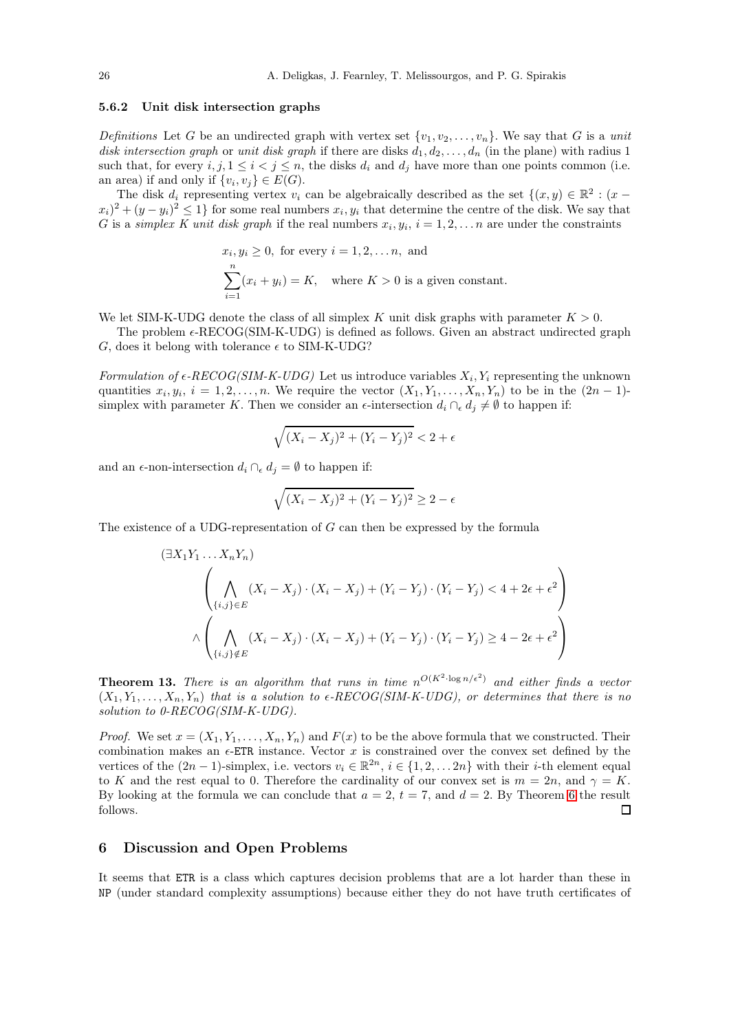## <span id="page-25-0"></span>5.6.2 Unit disk intersection graphs

Definitions Let G be an undirected graph with vertex set  $\{v_1, v_2, \ldots, v_n\}$ . We say that G is a unit disk intersection graph or unit disk graph if there are disks  $d_1, d_2, \ldots, d_n$  (in the plane) with radius 1 such that, for every  $i, j, 1 \leq i < j \leq n$ , the disks  $d_i$  and  $d_j$  have more than one points common (i.e. an area) if and only if  $\{v_i, v_j\} \in E(G)$ .

The disk  $d_i$  representing vertex  $v_i$  can be algebraically described as the set  $\{(x, y) \in \mathbb{R}^2 : (x - y) \in \mathbb{R}^2\}$  $(x_i)^2 + (y - y_i)^2 \leq 1$  for some real numbers  $x_i, y_i$  that determine the centre of the disk. We say that G is a *simplex K unit disk graph* if the real numbers  $x_i, y_i, i = 1, 2, \ldots n$  are under the constraints

$$
x_i, y_i \ge 0
$$
, for every  $i = 1, 2, ..., n$ , and  
\n
$$
\sum_{i=1}^n (x_i + y_i) = K
$$
, where  $K > 0$  is a given constant.

We let SIM-K-UDG denote the class of all simplex K unit disk graphs with parameter  $K > 0$ .

The problem  $\epsilon$ -RECOG(SIM-K-UDG) is defined as follows. Given an abstract undirected graph G, does it belong with tolerance  $\epsilon$  to SIM-K-UDG?

Formulation of  $\epsilon$ -RECOG(SIM-K-UDG) Let us introduce variables  $X_i, Y_i$  representing the unknown quantities  $x_i, y_i, i = 1, 2, \ldots, n$ . We require the vector  $(X_1, Y_1, \ldots, X_n, Y_n)$  to be in the  $(2n - 1)$ simplex with parameter K. Then we consider an  $\epsilon$ -intersection  $d_i \cap_{\epsilon} d_j \neq \emptyset$  to happen if:

$$
\sqrt{(X_i - X_j)^2 + (Y_i - Y_j)^2} < 2 + \epsilon
$$

and an  $\epsilon$ -non-intersection  $d_i \cap_{\epsilon} d_j = \emptyset$  to happen if:

$$
\sqrt{(X_i - X_j)^2 + (Y_i - Y_j)^2} \ge 2 - \epsilon
$$

The existence of a UDG-representation of G can then be expressed by the formula

$$
(\exists X_1 Y_1 \dots X_n Y_n)
$$
\n
$$
\left(\bigwedge_{\{i,j\}\in E} (X_i - X_j) \cdot (X_i - X_j) + (Y_i - Y_j) \cdot (Y_i - Y_j) < 4 + 2\epsilon + \epsilon^2\right)
$$
\n
$$
\wedge \left(\bigwedge_{\{i,j\}\notin E} (X_i - X_j) \cdot (X_i - X_j) + (Y_i - Y_j) \cdot (Y_i - Y_j) \ge 4 - 2\epsilon + \epsilon^2\right)
$$

**Theorem 13.** There is an algorithm that runs in time  $n^{O(K^2 \cdot \log n/\epsilon^2)}$  and either finds a vector  $(X_1, Y_1, \ldots, X_n, Y_n)$  that is a solution to  $\epsilon$ -RECOG(SIM-K-UDG), or determines that there is no solution to 0-RECOG(SIM-K-UDG).

*Proof.* We set  $x = (X_1, Y_1, \ldots, X_n, Y_n)$  and  $F(x)$  to be the above formula that we constructed. Their combination makes an  $\epsilon$ -ETR instance. Vector x is constrained over the convex set defined by the vertices of the  $(2n-1)$ -simplex, i.e. vectors  $v_i \in \mathbb{R}^{2n}$ ,  $i \in \{1, 2, \dots 2n\}$  with their *i*-th element equal to K and the rest equal to 0. Therefore the cardinality of our convex set is  $m = 2n$ , and  $\gamma = K$ . By looking at the formula we can conclude that  $a = 2$ ,  $t = 7$ , and  $d = 2$ . By Theorem [6](#page-10-1) the result follows.  $\Box$ 

#### <span id="page-25-1"></span>6 Discussion and Open Problems

It seems that ETR is a class which captures decision problems that are a lot harder than these in NP (under standard complexity assumptions) because either they do not have truth certificates of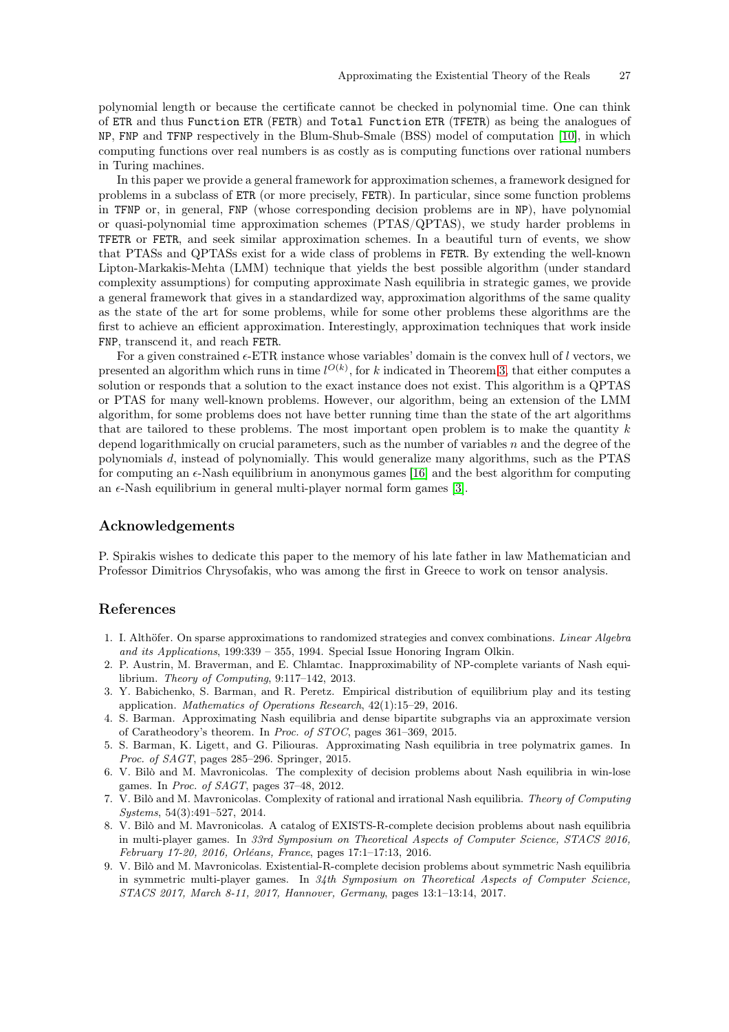polynomial length or because the certificate cannot be checked in polynomial time. One can think of ETR and thus Function ETR (FETR) and Total Function ETR (TFETR) as being the analogues of NP, FNP and TFNP respectively in the Blum-Shub-Smale (BSS) model of computation [\[10\]](#page-27-7), in which computing functions over real numbers is as costly as is computing functions over rational numbers in Turing machines.

In this paper we provide a general framework for approximation schemes, a framework designed for problems in a subclass of ETR (or more precisely, FETR). In particular, since some function problems in TFNP or, in general, FNP (whose corresponding decision problems are in NP), have polynomial or quasi-polynomial time approximation schemes (PTAS/QPTAS), we study harder problems in TFETR or FETR, and seek similar approximation schemes. In a beautiful turn of events, we show that PTASs and QPTASs exist for a wide class of problems in FETR. By extending the well-known Lipton-Markakis-Mehta (LMM) technique that yields the best possible algorithm (under standard complexity assumptions) for computing approximate Nash equilibria in strategic games, we provide a general framework that gives in a standardized way, approximation algorithms of the same quality as the state of the art for some problems, while for some other problems these algorithms are the first to achieve an efficient approximation. Interestingly, approximation techniques that work inside FNP, transcend it, and reach FETR.

For a given constrained  $\epsilon$ -ETR instance whose variables' domain is the convex hull of l vectors, we presented an algorithm which runs in time  $l^{O(k)}$ , for k indicated in Theorem [3,](#page-6-2) that either computes a solution or responds that a solution to the exact instance does not exist. This algorithm is a QPTAS or PTAS for many well-known problems. However, our algorithm, being an extension of the LMM algorithm, for some problems does not have better running time than the state of the art algorithms that are tailored to these problems. The most important open problem is to make the quantity  $k$ depend logarithmically on crucial parameters, such as the number of variables n and the degree of the polynomials d, instead of polynomially. This would generalize many algorithms, such as the PTAS for computing an  $\epsilon$ -Nash equilibrium in anonymous games [\[16\]](#page-27-26) and the best algorithm for computing an  $\epsilon$ -Nash equilibrium in general multi-player normal form games [\[3\]](#page-26-1).

# Acknowledgements

P. Spirakis wishes to dedicate this paper to the memory of his late father in law Mathematician and Professor Dimitrios Chrysofakis, who was among the first in Greece to work on tensor analysis.

# References

- <span id="page-26-0"></span>1. I. Althöfer. On sparse approximations to randomized strategies and convex combinations. Linear Algebra and its Applications, 199:339 – 355, 1994. Special Issue Honoring Ingram Olkin.
- <span id="page-26-6"></span>2. P. Austrin, M. Braverman, and E. Chlamtac. Inapproximability of NP-complete variants of Nash equilibrium. Theory of Computing, 9:117–142, 2013.
- <span id="page-26-1"></span>3. Y. Babichenko, S. Barman, and R. Peretz. Empirical distribution of equilibrium play and its testing application. Mathematics of Operations Research, 42(1):15–29, 2016.
- <span id="page-26-2"></span>4. S. Barman. Approximating Nash equilibria and dense bipartite subgraphs via an approximate version of Caratheodory's theorem. In Proc. of STOC, pages 361–369, 2015.
- <span id="page-26-3"></span>5. S. Barman, K. Ligett, and G. Piliouras. Approximating Nash equilibria in tree polymatrix games. In Proc. of SAGT, pages 285–296. Springer, 2015.
- <span id="page-26-4"></span>6. V. Bilò and M. Mavronicolas. The complexity of decision problems about Nash equilibria in win-lose games. In Proc. of SAGT, pages 37–48, 2012.
- 7. V. Bilò and M. Mavronicolas. Complexity of rational and irrational Nash equilibria. Theory of Computing Systems, 54(3):491–527, 2014.
- 8. V. Bilò and M. Mavronicolas. A catalog of EXISTS-R-complete decision problems about nash equilibria in multi-player games. In 33rd Symposium on Theoretical Aspects of Computer Science, STACS 2016, February 17-20, 2016, Orléans, France, pages 17:1–17:13, 2016.
- <span id="page-26-5"></span>9. V. Bilò and M. Mavronicolas. Existential-R-complete decision problems about symmetric Nash equilibria in symmetric multi-player games. In 34th Symposium on Theoretical Aspects of Computer Science, STACS 2017, March 8-11, 2017, Hannover, Germany, pages 13:1–13:14, 2017.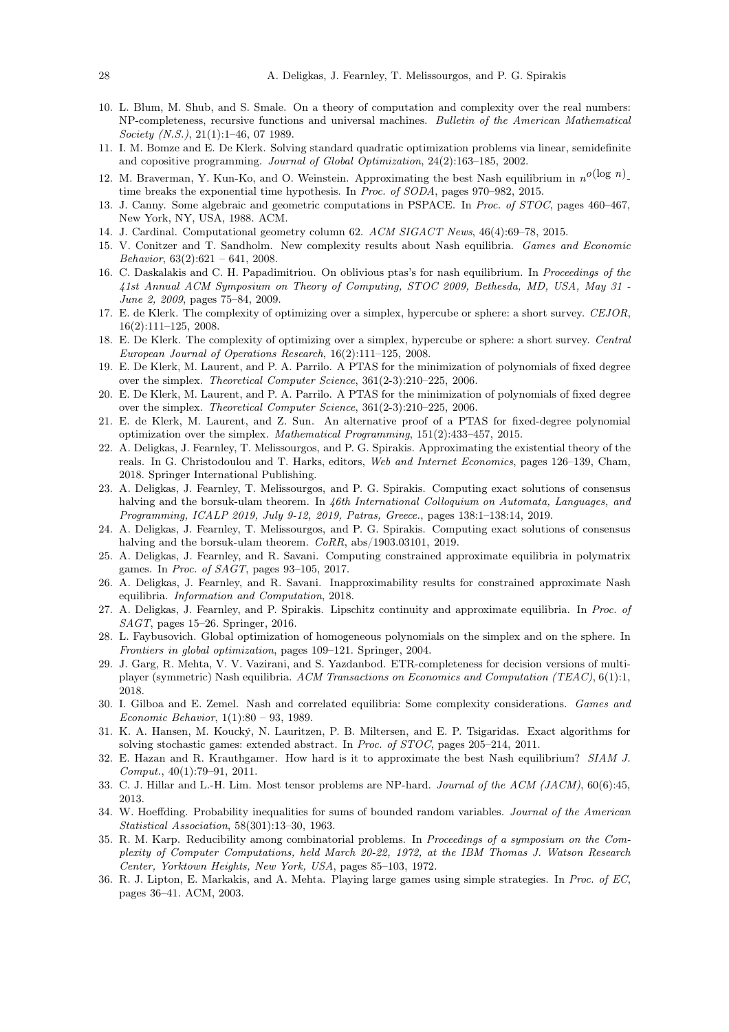- <span id="page-27-7"></span>10. L. Blum, M. Shub, and S. Smale. On a theory of computation and complexity over the real numbers: NP-completeness, recursive functions and universal machines. Bulletin of the American Mathematical Society (N.S.), 21(1):1-46, 07 1989.
- <span id="page-27-10"></span><span id="page-27-5"></span>11. I. M. Bomze and E. De Klerk. Solving standard quadratic optimization problems via linear, semidefinite and copositive programming. Journal of Global Optimization, 24(2):163–185, 2002.
- 12. M. Braverman, Y. Kun-Ko, and O. Weinstein. Approximating the best Nash equilibrium in  $n^{O}(\log n)$ . time breaks the exponential time hypothesis. In Proc. of SODA, pages 970–982, 2015.
- <span id="page-27-3"></span>13. J. Canny. Some algebraic and geometric computations in PSPACE. In Proc. of STOC, pages 460–467, New York, NY, USA, 1988. ACM.
- <span id="page-27-25"></span><span id="page-27-13"></span>14. J. Cardinal. Computational geometry column 62. ACM SIGACT News, 46(4):69–78, 2015.
- 15. V. Conitzer and T. Sandholm. New complexity results about Nash equilibria. Games and Economic Behavior,  $63(2):621 - 641$ ,  $2008$ .
- <span id="page-27-26"></span>16. C. Daskalakis and C. H. Papadimitriou. On oblivious ptas's for nash equilibrium. In Proceedings of the 41st Annual ACM Symposium on Theory of Computing, STOC 2009, Bethesda, MD, USA, May 31 - June 2, 2009, pages 75–84, 2009.
- <span id="page-27-12"></span>17. E. de Klerk. The complexity of optimizing over a simplex, hypercube or sphere: a short survey. CEJOR, 16(2):111–125, 2008.
- <span id="page-27-20"></span>18. E. De Klerk. The complexity of optimizing over a simplex, hypercube or sphere: a short survey. Central European Journal of Operations Research, 16(2):111–125, 2008.
- <span id="page-27-8"></span>19. E. De Klerk, M. Laurent, and P. A. Parrilo. A PTAS for the minimization of polynomials of fixed degree over the simplex. Theoretical Computer Science, 361(2-3):210–225, 2006.
- <span id="page-27-21"></span>20. E. De Klerk, M. Laurent, and P. A. Parrilo. A PTAS for the minimization of polynomials of fixed degree over the simplex. Theoretical Computer Science, 361(2-3):210–225, 2006.
- <span id="page-27-22"></span>21. E. de Klerk, M. Laurent, and Z. Sun. An alternative proof of a PTAS for fixed-degree polynomial optimization over the simplex. Mathematical Programming, 151(2):433–457, 2015.
- <span id="page-27-19"></span>22. A. Deligkas, J. Fearnley, T. Melissourgos, and P. G. Spirakis. Approximating the existential theory of the reals. In G. Christodoulou and T. Harks, editors, Web and Internet Economics, pages 126–139, Cham, 2018. Springer International Publishing.
- <span id="page-27-17"></span>23. A. Deligkas, J. Fearnley, T. Melissourgos, and P. G. Spirakis. Computing exact solutions of consensus halving and the borsuk-ulam theorem. In 46th International Colloquium on Automata, Languages, and Programming, ICALP 2019, July 9-12, 2019, Patras, Greece., pages 138:1–138:14, 2019.
- <span id="page-27-18"></span>24. A. Deligkas, J. Fearnley, T. Melissourgos, and P. G. Spirakis. Computing exact solutions of consensus halving and the borsuk-ulam theorem.  $CoRR$ , abs/1903.03101, 2019.
- <span id="page-27-2"></span>25. A. Deligkas, J. Fearnley, and R. Savani. Computing constrained approximate equilibria in polymatrix games. In Proc. of SAGT, pages 93–105, 2017.
- <span id="page-27-6"></span>26. A. Deligkas, J. Fearnley, and R. Savani. Inapproximability results for constrained approximate Nash equilibria. Information and Computation, 2018.
- <span id="page-27-1"></span>27. A. Deligkas, J. Fearnley, and P. Spirakis. Lipschitz continuity and approximate equilibria. In Proc. of SAGT, pages 15–26. Springer, 2016.
- <span id="page-27-23"></span>28. L. Faybusovich. Global optimization of homogeneous polynomials on the simplex and on the sphere. In Frontiers in global optimization, pages 109–121. Springer, 2004.
- <span id="page-27-4"></span>29. J. Garg, R. Mehta, V. V. Vazirani, and S. Yazdanbod. ETR-completeness for decision versions of multiplayer (symmetric) Nash equilibria. ACM Transactions on Economics and Computation (TEAC), 6(1):1, 2018.
- <span id="page-27-14"></span>30. I. Gilboa and E. Zemel. Nash and correlated equilibria: Some complexity considerations. Games and Economic Behavior, 1(1):80 – 93, 1989.
- <span id="page-27-16"></span>31. K. A. Hansen, M. Koucký, N. Lauritzen, P. B. Miltersen, and E. P. Tsigaridas. Exact algorithms for solving stochastic games: extended abstract. In Proc. of STOC, pages 205–214, 2011.
- <span id="page-27-15"></span>32. E. Hazan and R. Krauthgamer. How hard is it to approximate the best Nash equilibrium? SIAM J. Comput., 40(1):79–91, 2011.
- <span id="page-27-24"></span>33. C. J. Hillar and L.-H. Lim. Most tensor problems are NP-hard. Journal of the ACM (JACM), 60(6):45, 2013.
- <span id="page-27-11"></span>34. W. Hoeffding. Probability inequalities for sums of bounded random variables. Journal of the American Statistical Association, 58(301):13–30, 1963.
- <span id="page-27-9"></span>35. R. M. Karp. Reducibility among combinatorial problems. In Proceedings of a symposium on the Complexity of Computer Computations, held March 20-22, 1972, at the IBM Thomas J. Watson Research Center, Yorktown Heights, New York, USA, pages 85–103, 1972.
- <span id="page-27-0"></span>36. R. J. Lipton, E. Markakis, and A. Mehta. Playing large games using simple strategies. In Proc. of EC, pages 36–41. ACM, 2003.